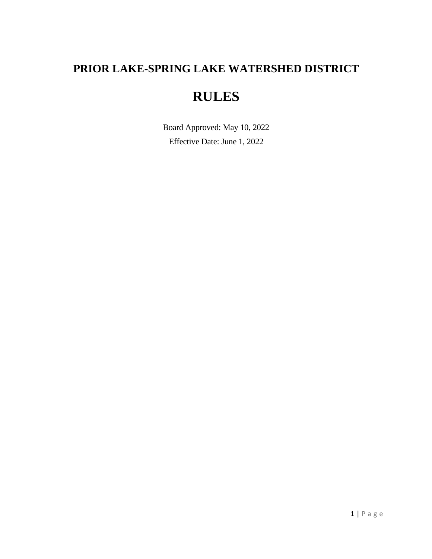## **PRIOR LAKE-SPRING LAKE WATERSHED DISTRICT**

# **RULES**

Board Approved: May 10, 2022 Effective Date: June 1, 2022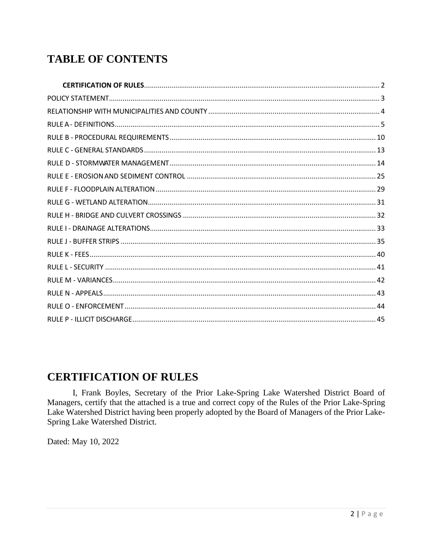### **TABLE OF CONTENTS**

#### <span id="page-1-0"></span>**CERTIFICATION OF RULES**

I, Frank Boyles, Secretary of the Prior Lake-Spring Lake Watershed District Board of Managers, certify that the attached is a true and correct copy of the Rules of the Prior Lake-Spring Lake Watershed District having been properly adopted by the Board of Managers of the Prior Lake-Spring Lake Watershed District.

Dated: May 10, 2022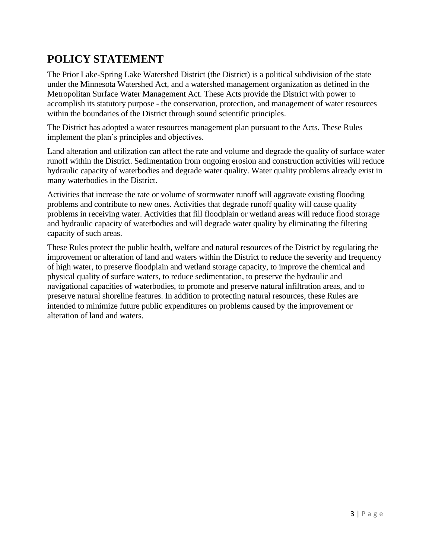### <span id="page-2-0"></span>**POLICY STATEMENT**

The Prior Lake-Spring Lake Watershed District (the District) is a political subdivision of the state under the Minnesota Watershed Act, and a watershed management organization as defined in the Metropolitan Surface Water Management Act. These Acts provide the District with power to accomplish its statutory purpose - the conservation, protection, and management of water resources within the boundaries of the District through sound scientific principles.

The District has adopted a water resources management plan pursuant to the Acts. These Rules implement the plan's principles and objectives.

Land alteration and utilization can affect the rate and volume and degrade the quality of surface water runoff within the District. Sedimentation from ongoing erosion and construction activities will reduce hydraulic capacity of waterbodies and degrade water quality. Water quality problems already exist in many waterbodies in the District.

Activities that increase the rate or volume of stormwater runoff will aggravate existing flooding problems and contribute to new ones. Activities that degrade runoff quality will cause quality problems in receiving water. Activities that fill floodplain or wetland areas will reduce flood storage and hydraulic capacity of waterbodies and will degrade water quality by eliminating the filtering capacity of such areas.

These Rules protect the public health, welfare and natural resources of the District by regulating the improvement or alteration of land and waters within the District to reduce the severity and frequency of high water, to preserve floodplain and wetland storage capacity, to improve the chemical and physical quality of surface waters, to reduce sedimentation, to preserve the hydraulic and navigational capacities of waterbodies, to promote and preserve natural infiltration areas, and to preserve natural shoreline features. In addition to protecting natural resources, these Rules are intended to minimize future public expenditures on problems caused by the improvement or alteration of land and waters.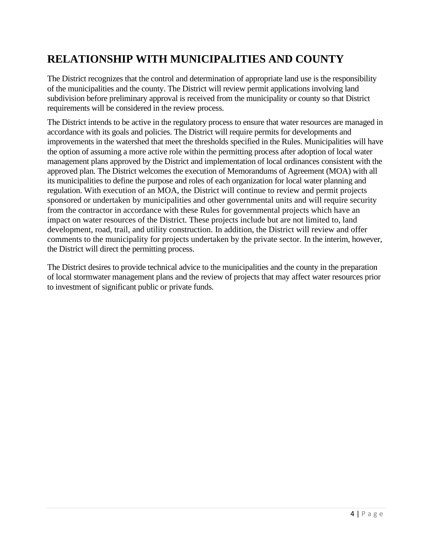### <span id="page-3-0"></span>**RELATIONSHIP WITH MUNICIPALITIES AND COUNTY**

The District recognizes that the control and determination of appropriate land use is the responsibility of the municipalities and the county. The District will review permit applications involving land subdivision before preliminary approval is received from the municipality or county so that District requirements will be considered in the review process.

The District intends to be active in the regulatory process to ensure that water resources are managed in accordance with its goals and policies. The District will require permits for developments and improvements in the watershed that meet the thresholds specified in the Rules. Municipalities will have the option of assuming a more active role within the permitting process after adoption of local water management plans approved by the District and implementation of local ordinances consistent with the approved plan. The District welcomes the execution of Memorandums of Agreement (MOA) with all its municipalities to define the purpose and roles of each organization for local water planning and regulation. With execution of an MOA, the District will continue to review and permit projects sponsored or undertaken by municipalities and other governmental units and will require security from the contractor in accordance with these Rules for governmental projects which have an impact on water resources of the District. These projects include but are not limited to, land development, road, trail, and utility construction. In addition, the District will review and offer comments to the municipality for projects undertaken by the private sector. In the interim, however, the District will direct the permitting process.

The District desires to provide technical advice to the municipalities and the county in the preparation of local stormwater management plans and the review of projects that may affect water resources prior to investment of significant public or private funds.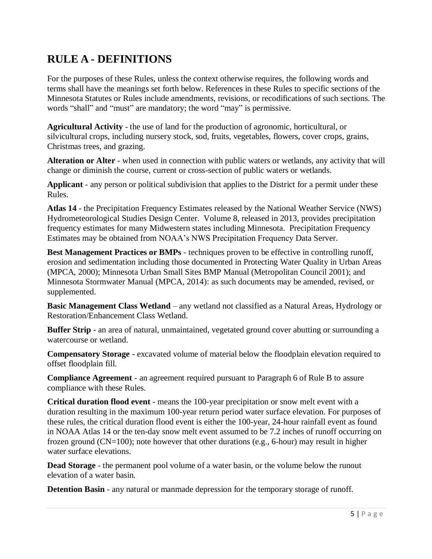#### <span id="page-4-0"></span>**RULE A - DEFINITIONS**

For the purposes of these Rules, unless the context otherwise requires, the following words and terms shall have the meanings set forth below. References in these Rules to specific sections of the Minnesota Statutes or Rules include amendments, revisions, or recodifications of such sections. The words "shall" and "must" are mandatory; the word "may" is permissive.

**Agricultural Activity** - the use of land for the production of agronomic, horticultural, or silvicultural crops, including nursery stock, sod, fruits, vegetables, flowers, cover crops, grains, Christmas trees, and grazing.

**Alteration or Alter** - when used in connection with public waters or wetlands, any activity that will change or diminish the course, current or cross-section of public waters or wetlands.

**Applicant** - any person or political subdivision that applies to the District for a permit under these Rules.

**Atlas 14** - the Precipitation Frequency Estimates released by the National Weather Service (NWS) Hydrometeorological Studies Design Center. Volume 8, released in 2013, provides precipitation frequency estimates for many Midwestern states including Minnesota. Precipitation Frequency Estimates may be obtained from [NOAA's NWS Precipitation Frequency Data Server.](https://hdsc.nws.noaa.gov/hdsc/pfds/pfds_map_cont.html?bkmrk=mn)

**Best Management Practices or BMPs** - techniques proven to be effective in controlling runoff, erosion and sedimentation including those documented in Protecting Water Quality in Urban Areas (MPCA, 2000); Minnesota Urban Small Sites BMP Manual (Metropolitan Council 2001); and Minnesota Stormwater Manual (MPCA, 2014): as such documents may be amended, revised, or supplemented.

**Basic Management Class Wetland** – any wetland not classified as a Natural Areas, Hydrology or Restoration/Enhancement Class Wetland.

**Buffer Strip -** an area of natural, unmaintained, vegetated ground cover abutting or surrounding a watercourse or wetland.

**Compensatory Storage** - excavated volume of material below the floodplain elevation required to offset floodplain fill.

**Compliance Agreement** - an agreement required pursuant to Paragraph 6 of Rule B to assure compliance with these Rules.

**Critical duration flood event** - means the 100-year precipitation or snow melt event with a duration resulting in the maximum 100-year return period water surface elevation. For purposes of these rules, the critical duration flood event is either the 100-year, 24-hour rainfall event as found in NOAA Atlas 14 or the ten-day snow melt event assumed to be 7.2 inches of runoff occurring on frozen ground ( $CN=100$ ); note however that other durations (e.g., 6-hour) may result in higher water surface elevations.

**Dead Storage** - the permanent pool volume of a water basin, or the volume below the runout elevation of a water basin.

**Detention Basin** - any natural or manmade depression for the temporary storage of runoff.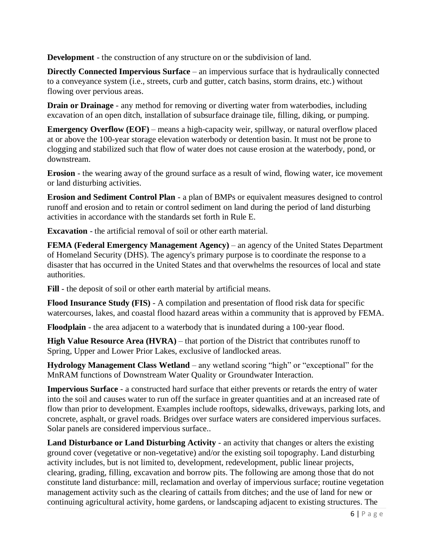**Development** - the construction of any structure on or the subdivision of land.

**Directly Connected Impervious Surface** – an impervious surface that is hydraulically connected to a conveyance system (i.e., streets, curb and gutter, catch basins, storm drains, etc.) without flowing over pervious areas.

**Drain or Drainage** - any method for removing or diverting water from waterbodies, including excavation of an open ditch, installation of subsurface drainage tile, filling, diking, or pumping.

**Emergency Overflow (EOF)** – [means a](https://www.lawinsider.com/dictionary/emergency-overflow) high-capacity weir, spillway, or natural overflow placed at or above the 100-year storage elevation waterbody or detention basin. It must not be prone to clogging and stabilized such that flow of water does not cause erosion at the waterbody, pond, or downstream.

**Erosion** - the wearing away of the ground surface as a result of wind, flowing water, ice movement or land disturbing activities.

**Erosion and Sediment Control Plan** - a plan of BMPs or equivalent measures designed to control runoff and erosion and to retain or control sediment on land during the period of land disturbing activities in accordance with the standards set forth in Rule E.

**Excavation** - the artificial removal of soil or other earth material.

**FEMA (Federal Emergency Management Agency)** – an agency of the [United States Department](https://en.wikipedia.org/wiki/United_States_Department_of_Homeland_Security)  [of Homeland Security](https://en.wikipedia.org/wiki/United_States_Department_of_Homeland_Security) (DHS). The agency's primary purpose is to coordinate the response to a disaster that has occurred in the United States and that overwhelms the resources of local and [state](https://en.wikipedia.org/wiki/U.S._state) authorities.

**Fill** - the deposit of soil or other earth material by artificial means.

**Flood Insurance Study (FIS)** - A compilation and presentation of flood risk data for specific watercourses, lakes, and coastal flood hazard areas within a community that is approved by FEMA.

**Floodplain** - the area adjacent to a waterbody that is inundated during a 100-year flood.

**High Value Resource Area (HVRA)** – that portion of the District that contributes runoff to Spring, Upper and Lower Prior Lakes, exclusive of landlocked areas.

**Hydrology Management Class Wetland** – any wetland scoring "high" or "exceptional" for the MnRAM functions of Downstream Water Quality or Groundwater Interaction.

**Impervious Surface** - a constructed hard surface that either prevents or retards the entry of water into the soil and causes water to run off the surface in greater quantities and at an increased rate of flow than prior to development. Examples include rooftops, sidewalks, driveways, parking lots, and concrete, asphalt, or gravel roads. Bridges over surface waters are considered impervious surfaces. Solar panels are considered impervious surface..

**Land Disturbance or Land Disturbing Activity** - an activity that changes or alters the existing ground cover (vegetative or non-vegetative) and/or the existing soil topography. Land disturbing activity includes, but is not limited to, development, redevelopment, public linear projects, clearing, grading, filling, excavation and borrow pits. The following are among those that do not constitute land disturbance: mill, reclamation and overlay of impervious surface; routine vegetation management activity such as the clearing of cattails from ditches; and the use of land for new or continuing agricultural activity, home gardens, or landscaping adjacent to existing structures. The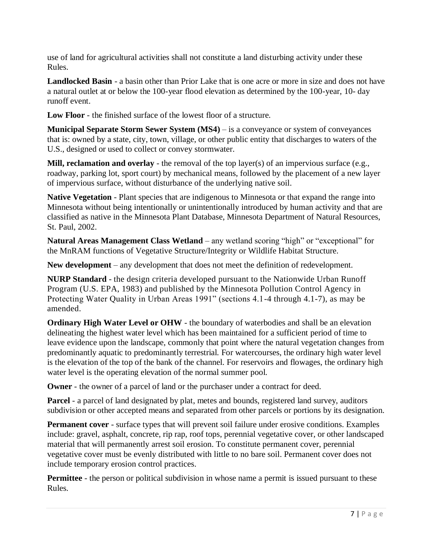use of land for agricultural activities shall not constitute a land disturbing activity under these Rules.

**Landlocked Basin** - a basin other than Prior Lake that is one acre or more in size and does not have a natural outlet at or below the 100-year flood elevation as determined by the 100-year, 10- day runoff event.

**Low Floor** - the finished surface of the lowest floor of a structure.

**Municipal Separate Storm Sewer System (MS4)** – is a conveyance or system of conveyances that is: owned by a state, city, town, village, or other public entity that discharges to waters of the U.S., designed or used to collect or convey stormwater.

**Mill, reclamation and overlay** - the removal of the top layer(s) of an impervious surface (e.g., roadway, parking lot, sport court) by mechanical means, followed by the placement of a new layer of impervious surface, without disturbance of the underlying native soil.

**Native Vegetation** - Plant species that are indigenous to Minnesota or that expand the range into Minnesota without being intentionally or unintentionally introduced by human activity and that are classified as native in the Minnesota Plant Database, Minnesota Department of Natural Resources, St. Paul, 2002.

**Natural Areas Management Class Wetland** – any wetland scoring "high" or "exceptional" for the MnRAM functions of Vegetative Structure/Integrity or Wildlife Habitat Structure.

**New development** – any development that does not meet the definition of redevelopment.

**NURP Standard** - the design criteria developed pursuant to the Nationwide Urban Runoff Program (U.S. EPA, 1983) and published by the Minnesota Pollution Control Agency in Protecting Water Quality in Urban Areas 1991" (sections 4.1-4 through 4.1-7), as may be amended.

**Ordinary High Water Level or OHW** - the boundary of waterbodies and shall be an elevation delineating the highest water level which has been maintained for a sufficient period of time to leave evidence upon the landscape, commonly that point where the natural vegetation changes from predominantly aquatic to predominantly terrestrial. For watercourses, the ordinary high water level is the elevation of the top of the bank of the channel. For reservoirs and flowages, the ordinary high water level is the operating elevation of the normal summer pool.

**Owner** - the owner of a parcel of land or the purchaser under a contract for deed.

**Parcel** - a parcel of land designated by plat, metes and bounds, registered land survey, auditors subdivision or other accepted means and separated from other parcels or portions by its designation.

**Permanent cover** - surface types that will prevent soil failure under erosive conditions. Examples include: gravel, asphalt, concrete, rip rap, roof tops, perennial vegetative cover, or other landscaped material that will permanently arrest soil erosion. To constitute permanent cover, perennial vegetative cover must be evenly distributed with little to no bare soil. Permanent cover does not include temporary erosion control practices.

**Permittee** - the person or political subdivision in whose name a permit is issued pursuant to these Rules.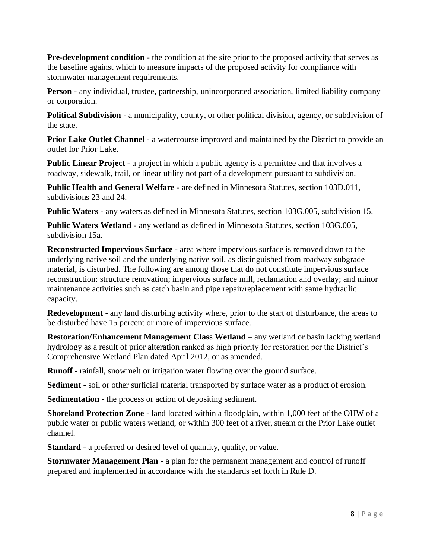**Pre-development condition** - the condition at the site prior to the proposed activity that serves as the baseline against which to measure impacts of the proposed activity for compliance with stormwater management requirements.

**Person** - any individual, trustee, partnership, unincorporated association, limited liability company or corporation.

**Political Subdivision** - a municipality, county, or other political division, agency, or subdivision of the state.

**Prior Lake Outlet Channel** - a watercourse improved and maintained by the District to provide an outlet for Prior Lake.

**Public Linear Project** - a project in which a public agency is a permittee and that involves a roadway, sidewalk, trail, or linear utility not part of a development pursuant to subdivision.

**Public Health and General Welfare** - are defined in Minnesota Statutes, section 103D.011, subdivisions 23 and 24.

**Public Waters** - any waters as defined in Minnesota Statutes, section 103G.005, subdivision 15.

**Public Waters Wetland** - any wetland as defined in Minnesota Statutes, section 103G.005, subdivision 15a.

**Reconstructed Impervious Surface** - area where impervious surface is removed down to the underlying native soil and the underlying native soil, as distinguished from roadway subgrade material, is disturbed. The following are among those that do not constitute impervious surface reconstruction: structure renovation; impervious surface mill, reclamation and overlay; and minor maintenance activities such as catch basin and pipe repair/replacement with same hydraulic capacity.

**Redevelopment** - any land disturbing activity where, prior to the start of disturbance, the areas to be disturbed have 15 percent or more of impervious surface.

**Restoration/Enhancement Management Class Wetland** – any wetland or basin lacking wetland hydrology as a result of prior alteration ranked as high priority for restoration per the District's Comprehensive Wetland Plan dated April 2012, or as amended.

**Runoff** - rainfall, snowmelt or irrigation water flowing over the ground surface.

**Sediment** - soil or other surficial material transported by surface water as a product of erosion.

**Sedimentation** - the process or action of depositing sediment.

**Shoreland Protection Zone** - land located within a floodplain, within 1,000 feet of the OHW of a public water or public waters wetland, or within 300 feet of a river, stream or the Prior Lake outlet channel.

**Standard** - a preferred or desired level of quantity, quality, or value.

**Stormwater Management Plan** - a plan for the permanent management and control of runoff prepared and implemented in accordance with the standards set forth in Rule D.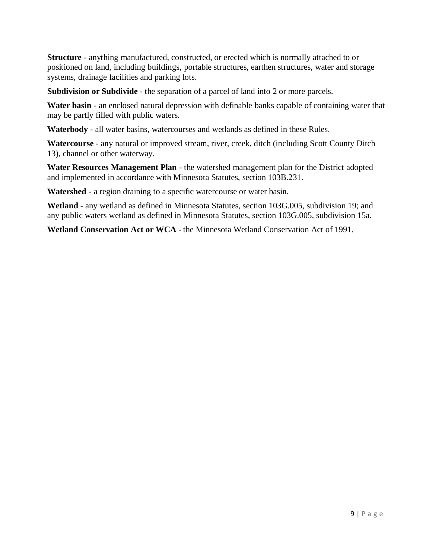**Structure** - anything manufactured, constructed, or erected which is normally attached to or positioned on land, including buildings, portable structures, earthen structures, water and storage systems, drainage facilities and parking lots.

**Subdivision or Subdivide** - the separation of a parcel of land into 2 or more parcels.

**Water basin** - an enclosed natural depression with definable banks capable of containing water that may be partly filled with public waters.

**Waterbody** - all water basins, watercourses and wetlands as defined in these Rules.

**Watercourse** - any natural or improved stream, river, creek, ditch (including Scott County Ditch 13), channel or other waterway.

**Water Resources Management Plan** - the watershed management plan for the District adopted and implemented in accordance with Minnesota Statutes, section 103B.231.

**Watershed** - a region draining to a specific watercourse or water basin.

**Wetland** - any wetland as defined in Minnesota Statutes, section 103G.005, subdivision 19; and any public waters wetland as defined in Minnesota Statutes, section 103G.005, subdivision 15a.

**Wetland Conservation Act or WCA** - the Minnesota Wetland Conservation Act of 1991.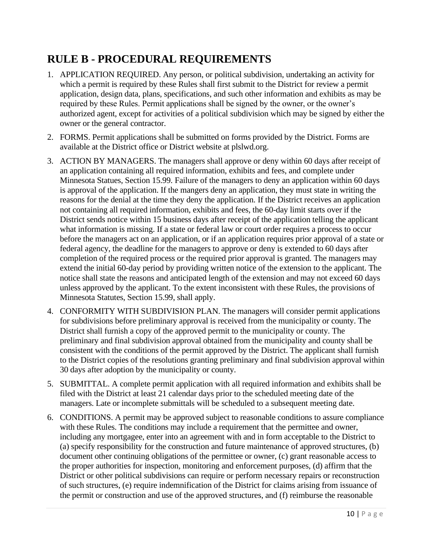### <span id="page-9-0"></span>**RULE B - PROCEDURAL REQUIREMENTS**

- 1. APPLICATION REQUIRED. Any person, or political subdivision, undertaking an activity for which a permit is required by these Rules shall first submit to the District for review a permit application, design data, plans, specifications, and such other information and exhibits as may be required by these Rules. Permit applications shall be signed by the owner, or the owner's authorized agent, except for activities of a political subdivision which may be signed by either the owner or the general contractor.
- 2. FORMS. Permit applications shall be submitted on forms provided by the District. Forms are available at the District office or District website at plslwd.org.
- 3. ACTION BY MANAGERS. The managers shall approve or deny within 60 days after receipt of an application containing all required information, exhibits and fees, and complete under Minnesota Statues, Section 15.99. Failure of the managers to deny an application within 60 days is approval of the application. If the mangers deny an application, they must state in writing the reasons for the denial at the time they deny the application. If the District receives an application not containing all required information, exhibits and fees, the 60-day limit starts over if the District sends notice within 15 business days after receipt of the application telling the applicant what information is missing. If a state or federal law or court order requires a process to occur before the managers act on an application, or if an application requires prior approval of a state or federal agency, the deadline for the managers to approve or deny is extended to 60 days after completion of the required process or the required prior approval is granted. The managers may extend the initial 60-day period by providing written notice of the extension to the applicant. The notice shall state the reasons and anticipated length of the extension and may not exceed 60 days unless approved by the applicant. To the extent inconsistent with these Rules, the provisions of Minnesota Statutes, Section 15.99, shall apply.
- 4. CONFORMITY WITH SUBDIVISION PLAN. The managers will consider permit applications for subdivisions before preliminary approval is received from the municipality or county. The District shall furnish a copy of the approved permit to the municipality or county. The preliminary and final subdivision approval obtained from the municipality and county shall be consistent with the conditions of the permit approved by the District. The applicant shall furnish to the District copies of the resolutions granting preliminary and final subdivision approval within 30 days after adoption by the municipality or county.
- 5. SUBMITTAL. A complete permit application with all required information and exhibits shall be filed with the District at least 21 calendar days prior to the scheduled meeting date of the managers. Late or incomplete submittals will be scheduled to a subsequent meeting date.
- 6. CONDITIONS. A permit may be approved subject to reasonable conditions to assure compliance with these Rules. The conditions may include a requirement that the permittee and owner, including any mortgagee, enter into an agreement with and in form acceptable to the District to (a) specify responsibility for the construction and future maintenance of approved structures, (b) document other continuing obligations of the permittee or owner, (c) grant reasonable access to the proper authorities for inspection, monitoring and enforcement purposes, (d) affirm that the District or other political subdivisions can require or perform necessary repairs or reconstruction of such structures, (e) require indemnification of the District for claims arising from issuance of the permit or construction and use of the approved structures, and (f) reimburse the reasonable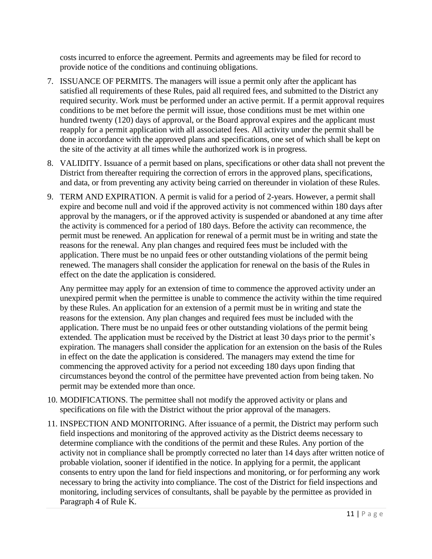costs incurred to enforce the agreement. Permits and agreements may be filed for record to provide notice of the conditions and continuing obligations.

- 7. ISSUANCE OF PERMITS. The managers will issue a permit only after the applicant has satisfied all requirements of these Rules, paid all required fees, and submitted to the District any required security. Work must be performed under an active permit. If a permit approval requires conditions to be met before the permit will issue, those conditions must be met within one hundred twenty (120) days of approval, or the Board approval expires and the applicant must reapply for a permit application with all associated fees. All activity under the permit shall be done in accordance with the approved plans and specifications, one set of which shall be kept on the site of the activity at all times while the authorized work is in progress.
- 8. VALIDITY. Issuance of a permit based on plans, specifications or other data shall not prevent the District from thereafter requiring the correction of errors in the approved plans, specifications, and data, or from preventing any activity being carried on thereunder in violation of these Rules.
- 9. TERM AND EXPIRATION. A permit is valid for a period of 2-years. However, a permit shall expire and become null and void if the approved activity is not commenced within 180 days after approval by the managers, or if the approved activity is suspended or abandoned at any time after the activity is commenced for a period of 180 days. Before the activity can recommence, the permit must be renewed. An application for renewal of a permit must be in writing and state the reasons for the renewal. Any plan changes and required fees must be included with the application. There must be no unpaid fees or other outstanding violations of the permit being renewed. The managers shall consider the application for renewal on the basis of the Rules in effect on the date the application is considered.

Any permittee may apply for an extension of time to commence the approved activity under an unexpired permit when the permittee is unable to commence the activity within the time required by these Rules. An application for an extension of a permit must be in writing and state the reasons for the extension. Any plan changes and required fees must be included with the application. There must be no unpaid fees or other outstanding violations of the permit being extended. The application must be received by the District at least 30 days prior to the permit's expiration. The managers shall consider the application for an extension on the basis of the Rules in effect on the date the application is considered. The managers may extend the time for commencing the approved activity for a period not exceeding 180 days upon finding that circumstances beyond the control of the permittee have prevented action from being taken. No permit may be extended more than once.

- 10. MODIFICATIONS. The permittee shall not modify the approved activity or plans and specifications on file with the District without the prior approval of the managers.
- 11. INSPECTION AND MONITORING. After issuance of a permit, the District may perform such field inspections and monitoring of the approved activity as the District deems necessary to determine compliance with the conditions of the permit and these Rules. Any portion of the activity not in compliance shall be promptly corrected no later than 14 days after written notice of probable violation, sooner if identified in the notice. In applying for a permit, the applicant consents to entry upon the land for field inspections and monitoring, or for performing any work necessary to bring the activity into compliance. The cost of the District for field inspections and monitoring, including services of consultants, shall be payable by the permittee as provided in Paragraph 4 of Rule K.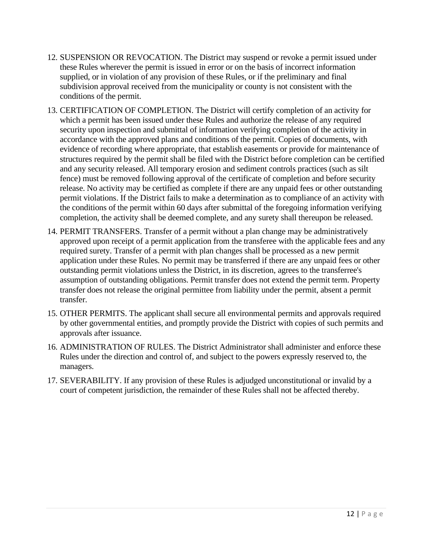- 12. SUSPENSION OR REVOCATION. The District may suspend or revoke a permit issued under these Rules wherever the permit is issued in error or on the basis of incorrect information supplied, or in violation of any provision of these Rules, or if the preliminary and final subdivision approval received from the municipality or county is not consistent with the conditions of the permit.
- 13. CERTIFICATION OF COMPLETION. The District will certify completion of an activity for which a permit has been issued under these Rules and authorize the release of any required security upon inspection and submittal of information verifying completion of the activity in accordance with the approved plans and conditions of the permit. Copies of documents, with evidence of recording where appropriate, that establish easements or provide for maintenance of structures required by the permit shall be filed with the District before completion can be certified and any security released. All temporary erosion and sediment controls practices (such as silt fence) must be removed following approval of the certificate of completion and before security release. No activity may be certified as complete if there are any unpaid fees or other outstanding permit violations. If the District fails to make a determination as to compliance of an activity with the conditions of the permit within 60 days after submittal of the foregoing information verifying completion, the activity shall be deemed complete, and any surety shall thereupon be released.
- 14. PERMIT TRANSFERS. Transfer of a permit without a plan change may be administratively approved upon receipt of a permit application from the transferee with the applicable fees and any required surety. Transfer of a permit with plan changes shall be processed as a new permit application under these Rules. No permit may be transferred if there are any unpaid fees or other outstanding permit violations unless the District, in its discretion, agrees to the transferree's assumption of outstanding obligations. Permit transfer does not extend the permit term. Property transfer does not release the original permittee from liability under the permit, absent a permit transfer.
- 15. OTHER PERMITS. The applicant shall secure all environmental permits and approvals required by other governmental entities, and promptly provide the District with copies of such permits and approvals after issuance.
- 16. ADMINISTRATION OF RULES. The District Administrator shall administer and enforce these Rules under the direction and control of, and subject to the powers expressly reserved to, the managers.
- 17. SEVERABILITY. If any provision of these Rules is adjudged unconstitutional or invalid by a court of competent jurisdiction, the remainder of these Rules shall not be affected thereby.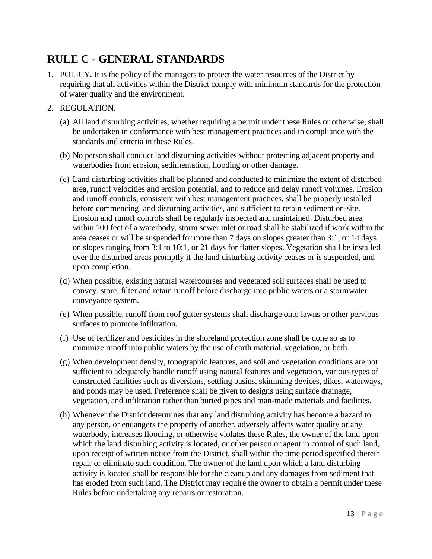### <span id="page-12-0"></span>**RULE C - GENERAL STANDARDS**

- 1. POLICY. It is the policy of the managers to protect the water resources of the District by requiring that all activities within the District comply with minimum standards for the protection of water quality and the environment.
- 2. REGULATION.
	- (a) All land disturbing activities, whether requiring a permit under these Rules or otherwise, shall be undertaken in conformance with best management practices and in compliance with the standards and criteria in these Rules.
	- (b) No person shall conduct land disturbing activities without protecting adjacent property and waterbodies from erosion, sedimentation, flooding or other damage.
	- (c) Land disturbing activities shall be planned and conducted to minimize the extent of disturbed area, runoff velocities and erosion potential, and to reduce and delay runoff volumes. Erosion and runoff controls, consistent with best management practices, shall be properly installed before commencing land disturbing activities, and sufficient to retain sediment on-site. Erosion and runoff controls shall be regularly inspected and maintained. Disturbed area within 100 feet of a waterbody, storm sewer inlet or road shall be stabilized if work within the area ceases or will be suspended for more than 7 days on slopes greater than 3:1, or 14 days on slopes ranging from 3:1 to 10:1, or 21 days for flatter slopes. Vegetation shall be installed over the disturbed areas promptly if the land disturbing activity ceases or is suspended, and upon completion.
	- (d) When possible, existing natural watercourses and vegetated soil surfaces shall be used to convey, store, filter and retain runoff before discharge into public waters or a stormwater conveyance system.
	- (e) When possible, runoff from roof gutter systems shall discharge onto lawns or other pervious surfaces to promote infiltration.
	- (f) Use of fertilizer and pesticides in the shoreland protection zone shall be done so as to minimize runoff into public waters by the use of earth material, vegetation, or both.
	- (g) When development density, topographic features, and soil and vegetation conditions are not sufficient to adequately handle runoff using natural features and vegetation, various types of constructed facilities such as diversions, settling basins, skimming devices, dikes, waterways, and ponds may be used. Preference shall be given to designs using surface drainage, vegetation, and infiltration rather than buried pipes and man-made materials and facilities.
	- (h) Whenever the District determines that any land disturbing activity has become a hazard to any person, or endangers the property of another, adversely affects water quality or any waterbody, increases flooding, or otherwise violates these Rules, the owner of the land upon which the land disturbing activity is located, or other person or agent in control of such land, upon receipt of written notice from the District, shall within the time period specified therein repair or eliminate such condition. The owner of the land upon which a land disturbing activity is located shall be responsible for the cleanup and any damages from sediment that has eroded from such land. The District may require the owner to obtain a permit under these Rules before undertaking any repairs or restoration.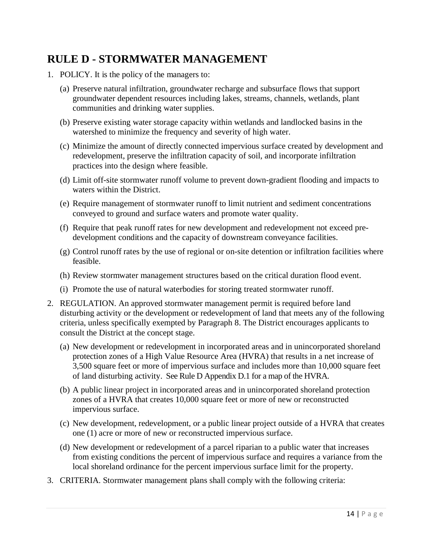#### <span id="page-13-0"></span>**RULE D - STORMWATER MANAGEMENT**

- 1. POLICY. It is the policy of the managers to:
	- (a) Preserve natural infiltration, groundwater recharge and subsurface flows that support groundwater dependent resources including lakes, streams, channels, wetlands, plant communities and drinking water supplies.
	- (b) Preserve existing water storage capacity within wetlands and landlocked basins in the watershed to minimize the frequency and severity of high water.
	- (c) Minimize the amount of directly connected impervious surface created by development and redevelopment, preserve the infiltration capacity of soil, and incorporate infiltration practices into the design where feasible.
	- (d) Limit off-site stormwater runoff volume to prevent down-gradient flooding and impacts to waters within the District.
	- (e) Require management of stormwater runoff to limit nutrient and sediment concentrations conveyed to ground and surface waters and promote water quality.
	- (f) Require that peak runoff rates for new development and redevelopment not exceed predevelopment conditions and the capacity of downstream conveyance facilities.
	- (g) Control runoff rates by the use of regional or on-site detention or infiltration facilities where feasible.
	- (h) Review stormwater management structures based on the critical duration flood event.
	- (i) Promote the use of natural waterbodies for storing treated stormwater runoff.
- 2. REGULATION. An approved stormwater management permit is required before land disturbing activity or the development or redevelopment of land that meets any of the following criteria, unless specifically exempted by Paragraph 8. The District encourages applicants to consult the District at the concept stage.
	- (a) New development or redevelopment in incorporated areas and in unincorporated shoreland protection zones of a High Value Resource Area (HVRA) that results in a net increase of 3,500 square feet or more of impervious surface and includes more than 10,000 square feet of land disturbing activity. See Rule D Appendix D.1 for a map of the HVRA.
	- (b) A public linear project in incorporated areas and in unincorporated shoreland protection zones of a HVRA that creates 10,000 square feet or more of new or reconstructed impervious surface.
	- (c) New development, redevelopment, or a public linear project outside of a HVRA that creates one (1) acre or more of new or reconstructed impervious surface.
	- (d) New development or redevelopment of a parcel riparian to a public water that increases from existing conditions the percent of impervious surface and requires a variance from the local shoreland ordinance for the percent impervious surface limit for the property.
- 3. CRITERIA. Stormwater management plans shall comply with the following criteria: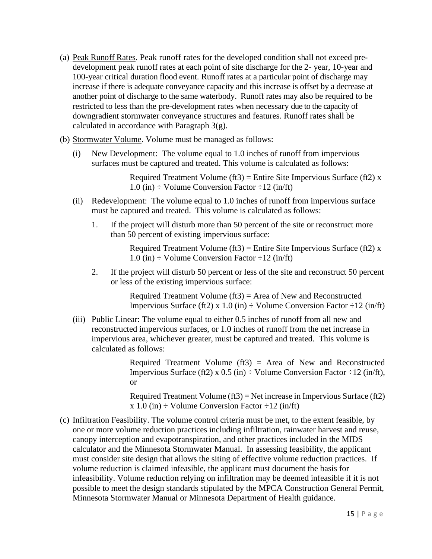- (a) Peak Runoff Rates. Peak runoff rates for the developed condition shall not exceed predevelopment peak runoff rates at each point of site discharge for the 2- year, 10-year and 100-year critical duration flood event. Runoff rates at a particular point of discharge may increase if there is adequate conveyance capacity and this increase is offset by a decrease at another point of discharge to the same waterbody. Runoff rates may also be required to be restricted to less than the pre-development rates when necessary due to the capacity of downgradient stormwater conveyance structures and features. Runoff rates shall be calculated in accordance with Paragraph 3(g).
- (b) Stormwater Volume. Volume must be managed as follows:
	- (i) New Development: The volume equal to 1.0 inches of runoff from impervious surfaces must be captured and treated. This volume is calculated as follows:

Required Treatment Volume (ft3) = Entire Site Impervious Surface (ft2)  $x$ 1.0 (in)  $\div$  Volume Conversion Factor  $\div$ 12 (in/ft)

- (ii) Redevelopment: The volume equal to 1.0 inches of runoff from impervious surface must be captured and treated. This volume is calculated as follows:
	- 1. If the project will disturb more than 50 percent of the site or reconstruct more than 50 percent of existing impervious surface:

Required Treatment Volume (ft3) = Entire Site Impervious Surface (ft2)  $x$ 1.0 (in)  $\div$  Volume Conversion Factor  $\div$ 12 (in/ft)

2. If the project will disturb 50 percent or less of the site and reconstruct 50 percent or less of the existing impervious surface:

> Required Treatment Volume (ft3) = Area of New and Reconstructed Impervious Surface (ft2) x 1.0 (in)  $\div$  Volume Conversion Factor  $\div$ 12 (in/ft)

(iii) Public Linear: The volume equal to either 0.5 inches of runoff from all new and reconstructed impervious surfaces, or 1.0 inches of runoff from the net increase in impervious area, whichever greater, must be captured and treated. This volume is calculated as follows:

> Required Treatment Volume  $(f13)$  = Area of New and Reconstructed Impervious Surface (ft2) x  $0.5$  (in)  $\div$  Volume Conversion Factor  $\div$ 12 (in/ft), or

> Required Treatment Volume (ft3) = Net increase in Impervious Surface (ft2)  $x 1.0$  (in)  $\div$  Volume Conversion Factor  $\div 12$  (in/ft)

(c) Infiltration Feasibility. The volume control criteria must be met, to the extent feasible, by one or more volume reduction practices including infiltration, rainwater harvest and reuse, canopy interception and evapotranspiration, and other practices included in the MIDS calculator and the Minnesota Stormwater Manual. In assessing feasibility, the applicant must consider site design that allows the siting of effective volume reduction practices. If volume reduction is claimed infeasible, the applicant must document the basis for infeasibility. Volume reduction relying on infiltration may be deemed infeasible if it is not possible to meet the design standards stipulated by the MPCA Construction General Permit, Minnesota Stormwater Manual or Minnesota Department of Health guidance.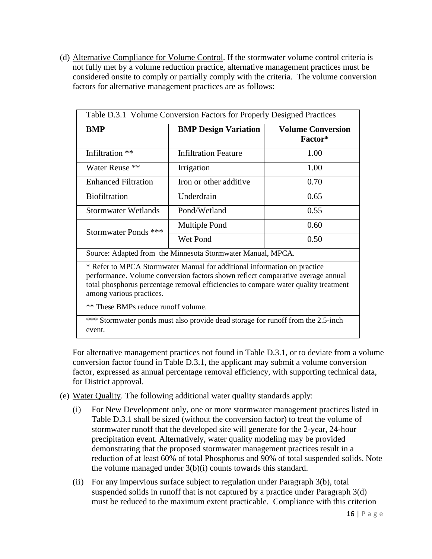(d) Alternative Compliance for Volume Control. If the stormwater volume control criteria is not fully met by a volume reduction practice, alternative management practices must be considered onsite to comply or partially comply with the criteria. The volume conversion factors for alternative management practices are as follows:

| Table D.3.1 Volume Conversion Factors for Properly Designed Practices                                                                                                                                                                                                          |                             |                                     |  |  |
|--------------------------------------------------------------------------------------------------------------------------------------------------------------------------------------------------------------------------------------------------------------------------------|-----------------------------|-------------------------------------|--|--|
| <b>BMP</b>                                                                                                                                                                                                                                                                     | <b>BMP Design Variation</b> | <b>Volume Conversion</b><br>Factor* |  |  |
| Infiltration **                                                                                                                                                                                                                                                                | <b>Infiltration Feature</b> | 1.00                                |  |  |
| Water Reuse **                                                                                                                                                                                                                                                                 | Irrigation                  | 1.00                                |  |  |
| <b>Enhanced Filtration</b>                                                                                                                                                                                                                                                     | Iron or other additive      | 0.70                                |  |  |
| <b>Biofiltration</b>                                                                                                                                                                                                                                                           | Underdrain                  | 0.65                                |  |  |
| <b>Stormwater Wetlands</b>                                                                                                                                                                                                                                                     | Pond/Wetland                | 0.55                                |  |  |
| Stormwater Ponds ***                                                                                                                                                                                                                                                           | Multiple Pond               | 0.60                                |  |  |
|                                                                                                                                                                                                                                                                                | Wet Pond                    | 0.50                                |  |  |
| Source: Adapted from the Minnesota Stormwater Manual, MPCA.                                                                                                                                                                                                                    |                             |                                     |  |  |
| * Refer to MPCA Stormwater Manual for additional information on practice<br>performance. Volume conversion factors shown reflect comparative average annual<br>total phosphorus percentage removal efficiencies to compare water quality treatment<br>among various practices. |                             |                                     |  |  |
| ** These BMPs reduce runoff volume.                                                                                                                                                                                                                                            |                             |                                     |  |  |
| *** Stormwater ponds must also provide dead storage for runoff from the 2.5-inch<br>event.                                                                                                                                                                                     |                             |                                     |  |  |

For alternative management practices not found in Table D.3.1, or to deviate from a volume conversion factor found in Table D.3.1, the applicant may submit a volume conversion factor, expressed as annual percentage removal efficiency, with supporting technical data, for District approval.

- (e) Water Quality. The following additional water quality standards apply:
	- (i) For New Development only, one or more stormwater management practices listed in Table D.3.1 shall be sized (without the conversion factor) to treat the volume of stormwater runoff that the developed site will generate for the 2-year, 24-hour precipitation event. Alternatively, water quality modeling may be provided demonstrating that the proposed stormwater management practices result in a reduction of at least 60% of total Phosphorus and 90% of total suspended solids. Note the volume managed under 3(b)(i) counts towards this standard.
	- (ii) For any impervious surface subject to regulation under Paragraph 3(b), total suspended solids in runoff that is not captured by a practice under Paragraph 3(d) must be reduced to the maximum extent practicable. Compliance with this criterion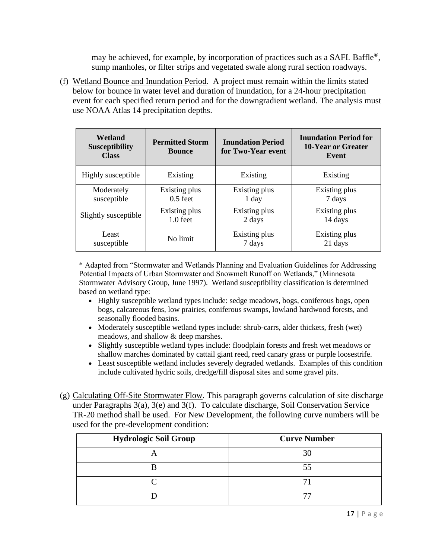may be achieved, for example, by incorporation of practices such as a SAFL Baffle®, sump manholes, or filter strips and vegetated swale along rural section roadways.

(f) Wetland Bounce and Inundation Period. A project must remain within the limits stated below for bounce in water level and duration of inundation, for a 24-hour precipitation event for each specified return period and for the downgradient wetland. The analysis must use NOAA Atlas 14 precipitation depths.

| Wetland<br><b>Susceptibility</b><br><b>Class</b> | <b>Permitted Storm</b><br><b>Inundation Period</b><br>for Two-Year event<br><b>Bounce</b> |               | <b>Inundation Period for</b><br><b>10-Year or Greater</b><br>Event |  |
|--------------------------------------------------|-------------------------------------------------------------------------------------------|---------------|--------------------------------------------------------------------|--|
| Highly susceptible                               | Existing                                                                                  | Existing      | Existing                                                           |  |
| Moderately                                       | Existing plus                                                                             | Existing plus | Existing plus                                                      |  |
| susceptible                                      | $0.5$ feet                                                                                | $1$ day       | 7 days                                                             |  |
| Slightly susceptible                             | Existing plus                                                                             | Existing plus | Existing plus                                                      |  |
|                                                  | $1.0 \text{ feet}$                                                                        | 2 days        | 14 days                                                            |  |
| Least                                            | No limit                                                                                  | Existing plus | Existing plus                                                      |  |
| susceptible                                      |                                                                                           | 7 days        | 21 days                                                            |  |

\* Adapted from "Stormwater and Wetlands Planning and Evaluation Guidelines for Addressing Potential Impacts of Urban Stormwater and Snowmelt Runoff on Wetlands," (Minnesota Stormwater Advisory Group, June 1997). Wetland susceptibility classification is determined based on wetland type:

- Highly susceptible wetland types include: sedge meadows, bogs, coniferous bogs, open bogs, calcareous fens, low prairies, coniferous swamps, lowland hardwood forests, and seasonally flooded basins.
- Moderately susceptible wetland types include: shrub-carrs, alder thickets, fresh (wet) meadows, and shallow & deep marshes.
- Slightly susceptible wetland types include: floodplain forests and fresh wet meadows or shallow marches dominated by cattail giant reed, reed canary grass or purple loosestrife.
- Least susceptible wetland includes severely degraded wetlands. Examples of this condition include cultivated hydric soils, dredge/fill disposal sites and some gravel pits.
- (g) Calculating Off-Site Stormwater Flow. This paragraph governs calculation of site discharge under Paragraphs 3(a), 3(e) and 3(f). To calculate discharge, Soil Conservation Service TR-20 method shall be used. For New Development, the following curve numbers will be used for the pre-development condition:

| <b>Hydrologic Soil Group</b> | <b>Curve Number</b> |
|------------------------------|---------------------|
|                              | 30                  |
|                              | 55                  |
|                              |                     |
|                              |                     |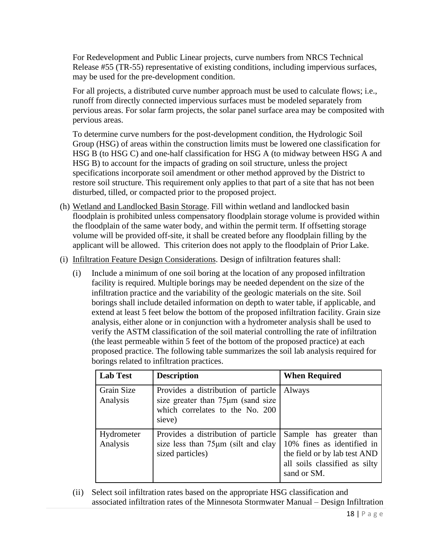For Redevelopment and Public Linear projects, curve numbers from NRCS Technical Release #55 (TR-55) representative of existing conditions, including impervious surfaces, may be used for the pre-development condition.

For all projects, a distributed curve number approach must be used to calculate flows; i.e., runoff from directly connected impervious surfaces must be modeled separately from pervious areas. For solar farm projects, the solar panel surface area may be composited with pervious areas.

To determine curve numbers for the post-development condition, the Hydrologic Soil Group (HSG) of areas within the construction limits must be lowered one classification for HSG B (to HSG C) and one-half classification for HSG A (to midway between HSG A and HSG B) to account for the impacts of grading on soil structure, unless the project specifications incorporate soil amendment or other method approved by the District to restore soil structure. This requirement only applies to that part of a site that has not been disturbed, tilled, or compacted prior to the proposed project.

- (h) Wetland and Landlocked Basin Storage. Fill within wetland and landlocked basin floodplain is prohibited unless compensatory floodplain storage volume is provided within the floodplain of the same water body, and within the permit term. If offsetting storage volume will be provided off-site, it shall be created before any floodplain filling by the applicant will be allowed. This criterion does not apply to the floodplain of Prior Lake.
- (i) Infiltration Feature Design Considerations. Design of infiltration features shall:
	- (i) Include a minimum of one soil boring at the location of any proposed infiltration facility is required. Multiple borings may be needed dependent on the size of the infiltration practice and the variability of the geologic materials on the site. Soil borings shall include detailed information on depth to water table, if applicable, and extend at least 5 feet below the bottom of the proposed infiltration facility. Grain size analysis, either alone or in conjunction with a hydrometer analysis shall be used to verify the ASTM classification of the soil material controlling the rate of infiltration (the least permeable within 5 feet of the bottom of the proposed practice) at each proposed practice. The following table summarizes the soil lab analysis required for borings related to infiltration practices.

| <b>Lab Test</b>        | <b>Description</b>                                                                                                    | <b>When Required</b>                                                                                                                  |
|------------------------|-----------------------------------------------------------------------------------------------------------------------|---------------------------------------------------------------------------------------------------------------------------------------|
| Grain Size<br>Analysis | Provides a distribution of particle<br>size greater than 75µm (sand size<br>which correlates to the No. 200<br>sieve) | Always                                                                                                                                |
| Hydrometer<br>Analysis | Provides a distribution of particle<br>size less than $75\mu m$ (silt and clay<br>sized particles)                    | Sample has greater than<br>10% fines as identified in<br>the field or by lab test AND<br>all soils classified as silty<br>sand or SM. |

(ii) Select soil infiltration rates based on the appropriate HSG classification and associated infiltration rates of the Minnesota Stormwater Manual – Design Infiltration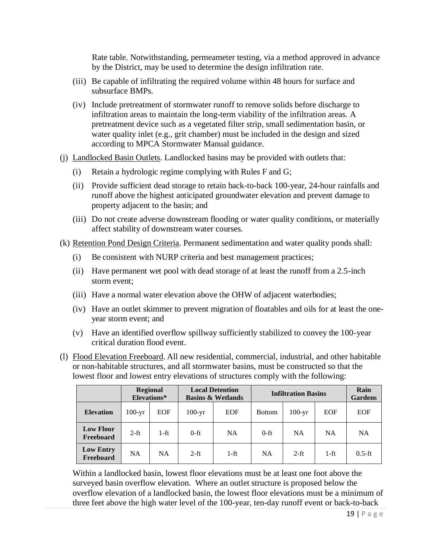Rate table. Notwithstanding, permeameter testing, via a method approved in advance by the District, may be used to determine the design infiltration rate.

- (iii) Be capable of infiltrating the required volume within 48 hours for surface and subsurface BMPs.
- (iv) Include pretreatment of stormwater runoff to remove solids before discharge to infiltration areas to maintain the long-term viability of the infiltration areas. A pretreatment device such as a vegetated filter strip, small sedimentation basin, or water quality inlet (e.g., grit chamber) must be included in the design and sized according to MPCA Stormwater Manual guidance.
- (j) Landlocked Basin Outlets. Landlocked basins may be provided with outlets that:
	- (i) Retain a hydrologic regime complying with Rules F and G;
	- (ii) Provide sufficient dead storage to retain back-to-back 100-year, 24-hour rainfalls and runoff above the highest anticipated groundwater elevation and prevent damage to property adjacent to the basin; and
	- (iii) Do not create adverse downstream flooding or water quality conditions, or materially affect stability of downstream water courses.
- (k) Retention Pond Design Criteria. Permanent sedimentation and water quality ponds shall:
	- (i) Be consistent with NURP criteria and best management practices;
	- (ii) Have permanent wet pool with dead storage of at least the runoff from a 2.5-inch storm event;
	- (iii) Have a normal water elevation above the OHW of adjacent waterbodies;
	- (iv) Have an outlet skimmer to prevent migration of floatables and oils for at least the oneyear storm event; and
	- (v) Have an identified overflow spillway sufficiently stabilized to convey the 100-year critical duration flood event.
- (l) Flood Elevation Freeboard. All new residential, commercial, industrial, and other habitable or non-habitable structures, and all stormwater basins, must be constructed so that the lowest floor and lowest entry elevations of structures comply with the following:

|                               |           | <b>Regional</b><br>Elevations* | <b>Local Detention</b><br><b>Basins &amp; Wetlands</b> |            | <b>Infiltration Basins</b> |          |            | Rain<br><b>Gardens</b> |
|-------------------------------|-----------|--------------------------------|--------------------------------------------------------|------------|----------------------------|----------|------------|------------------------|
| <b>Elevation</b>              | $100-yr$  | EOF                            | $100-yr$                                               | <b>EOF</b> | <b>Bottom</b>              | $100-yr$ | <b>EOF</b> | <b>EOF</b>             |
| <b>Low Floor</b><br>Freeboard | $2-ft$    | 1-ft                           | $0$ -ft                                                | <b>NA</b>  | $0$ -ft                    | NA       | NA         | <b>NA</b>              |
| <b>Low Entry</b><br>Freeboard | <b>NA</b> | <b>NA</b>                      | $2-ft$                                                 | $1-ft$     | <b>NA</b>                  | $2-ft$   | $1-ft$     | $0.5-ft$               |

Within a landlocked basin, lowest floor elevations must be at least one foot above the surveyed basin overflow elevation. Where an outlet structure is proposed below the overflow elevation of a landlocked basin, the lowest floor elevations must be a minimum of three feet above the high water level of the 100-year, ten-day runoff event or back-to-back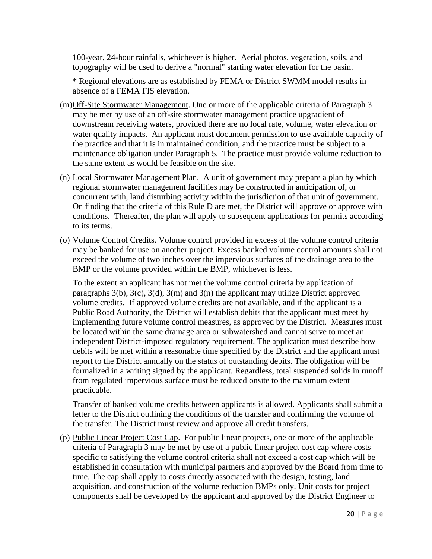100-year, 24-hour rainfalls, whichever is higher. Aerial photos, vegetation, soils, and topography will be used to derive a "normal" starting water elevation for the basin.

\* Regional elevations are as established by FEMA or District SWMM model results in absence of a FEMA FIS elevation.

- (m)Off-Site Stormwater Management. One or more of the applicable criteria of Paragraph 3 may be met by use of an off-site stormwater management practice upgradient of downstream receiving waters, provided there are no local rate, volume, water elevation or water quality impacts. An applicant must document permission to use available capacity of the practice and that it is in maintained condition, and the practice must be subject to a maintenance obligation under Paragraph 5. The practice must provide volume reduction to the same extent as would be feasible on the site.
- (n) Local Stormwater Management Plan. A unit of government may prepare a plan by which regional stormwater management facilities may be constructed in anticipation of, or concurrent with, land disturbing activity within the jurisdiction of that unit of government. On finding that the criteria of this Rule D are met, the District will approve or approve with conditions. Thereafter, the plan will apply to subsequent applications for permits according to its terms.
- (o) Volume Control Credits. Volume control provided in excess of the volume control criteria may be banked for use on another project. Excess banked volume control amounts shall not exceed the volume of two inches over the impervious surfaces of the drainage area to the BMP or the volume provided within the BMP, whichever is less.

To the extent an applicant has not met the volume control criteria by application of paragraphs 3(b), 3(c), 3(d), 3(m) and 3(n) the applicant may utilize District approved volume credits. If approved volume credits are not available, and if the applicant is a Public Road Authority, the District will establish debits that the applicant must meet by implementing future volume control measures, as approved by the District. Measures must be located within the same drainage area or subwatershed and cannot serve to meet an independent District-imposed regulatory requirement. The application must describe how debits will be met within a reasonable time specified by the District and the applicant must report to the District annually on the status of outstanding debits. The obligation will be formalized in a writing signed by the applicant. Regardless, total suspended solids in runoff from regulated impervious surface must be reduced onsite to the maximum extent practicable.

Transfer of banked volume credits between applicants is allowed. Applicants shall submit a letter to the District outlining the conditions of the transfer and confirming the volume of the transfer. The District must review and approve all credit transfers.

(p) Public Linear Project Cost Cap. For public linear projects, one or more of the applicable criteria of Paragraph 3 may be met by use of a public linear project cost cap where costs specific to satisfying the volume control criteria shall not exceed a cost cap which will be established in consultation with municipal partners and approved by the Board from time to time. The cap shall apply to costs directly associated with the design, testing, land acquisition, and construction of the volume reduction BMPs only. Unit costs for project components shall be developed by the applicant and approved by the District Engineer to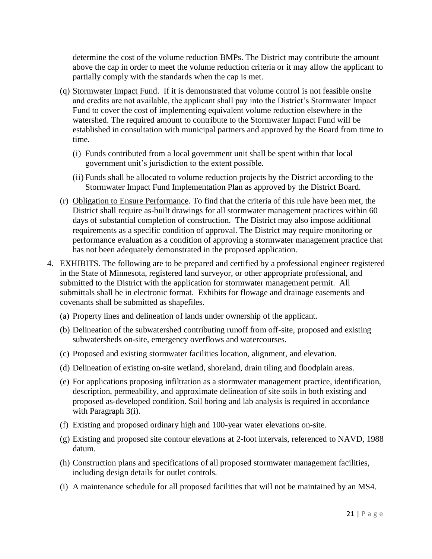determine the cost of the volume reduction BMPs. The District may contribute the amount above the cap in order to meet the volume reduction criteria or it may allow the applicant to partially comply with the standards when the cap is met.

- (q) Stormwater Impact Fund. If it is demonstrated that volume control is not feasible onsite and credits are not available, the applicant shall pay into the District's Stormwater Impact Fund to cover the cost of implementing equivalent volume reduction elsewhere in the watershed. The required amount to contribute to the Stormwater Impact Fund will be established in consultation with municipal partners and approved by the Board from time to time.
	- (i) Funds contributed from a local government unit shall be spent within that local government unit's jurisdiction to the extent possible.
	- (ii) Funds shall be allocated to volume reduction projects by the District according to the Stormwater Impact Fund Implementation Plan as approved by the District Board.
- (r) Obligation to Ensure Performance. To find that the criteria of this rule have been met, the District shall require as-built drawings for all stormwater management practices within 60 days of substantial completion of construction. The District may also impose additional requirements as a specific condition of approval. The District may require monitoring or performance evaluation as a condition of approving a stormwater management practice that has not been adequately demonstrated in the proposed application.
- 4. EXHIBITS. The following are to be prepared and certified by a professional engineer registered in the State of Minnesota, registered land surveyor, or other appropriate professional, and submitted to the District with the application for stormwater management permit. All submittals shall be in electronic format. Exhibits for flowage and drainage easements and covenants shall be submitted as shapefiles.
	- (a) Property lines and delineation of lands under ownership of the applicant.
	- (b) Delineation of the subwatershed contributing runoff from off-site, proposed and existing subwatersheds on-site, emergency overflows and watercourses.
	- (c) Proposed and existing stormwater facilities location, alignment, and elevation.
	- (d) Delineation of existing on-site wetland, shoreland, drain tiling and floodplain areas.
	- (e) For applications proposing infiltration as a stormwater management practice, identification, description, permeability, and approximate delineation of site soils in both existing and proposed as-developed condition. Soil boring and lab analysis is required in accordance with Paragraph 3(i).
	- (f) Existing and proposed ordinary high and 100-year water elevations on-site.
	- (g) Existing and proposed site contour elevations at 2-foot intervals, referenced to NAVD, 1988 datum.
	- (h) Construction plans and specifications of all proposed stormwater management facilities, including design details for outlet controls.
	- (i) A maintenance schedule for all proposed facilities that will not be maintained by an MS4.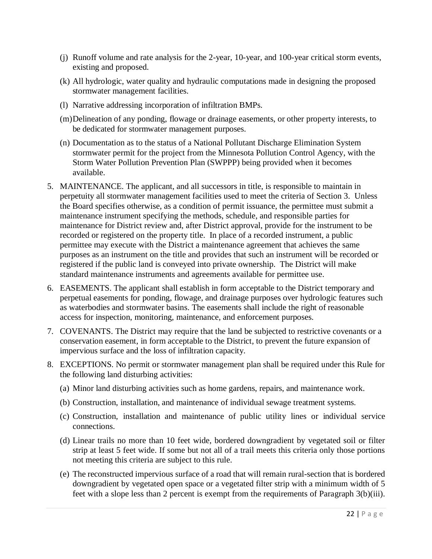- (j) Runoff volume and rate analysis for the 2-year, 10-year, and 100-year critical storm events, existing and proposed.
- (k) All hydrologic, water quality and hydraulic computations made in designing the proposed stormwater management facilities.
- (l) Narrative addressing incorporation of infiltration BMPs.
- (m)Delineation of any ponding, flowage or drainage easements, or other property interests, to be dedicated for stormwater management purposes.
- (n) Documentation as to the status of a National Pollutant Discharge Elimination System stormwater permit for the project from the Minnesota Pollution Control Agency, with the Storm Water Pollution Prevention Plan (SWPPP) being provided when it becomes available.
- 5. MAINTENANCE. The applicant, and all successors in title, is responsible to maintain in perpetuity all stormwater management facilities used to meet the criteria of Section 3. Unless the Board specifies otherwise, as a condition of permit issuance, the permittee must submit a maintenance instrument specifying the methods, schedule, and responsible parties for maintenance for District review and, after District approval, provide for the instrument to be recorded or registered on the property title. In place of a recorded instrument, a public permittee may execute with the District a maintenance agreement that achieves the same purposes as an instrument on the title and provides that such an instrument will be recorded or registered if the public land is conveyed into private ownership. The District will make standard maintenance instruments and agreements available for permittee use.
- 6. EASEMENTS. The applicant shall establish in form acceptable to the District temporary and perpetual easements for ponding, flowage, and drainage purposes over hydrologic features such as waterbodies and stormwater basins. The easements shall include the right of reasonable access for inspection, monitoring, maintenance, and enforcement purposes.
- 7. COVENANTS. The District may require that the land be subjected to restrictive covenants or a conservation easement, in form acceptable to the District, to prevent the future expansion of impervious surface and the loss of infiltration capacity.
- 8. EXCEPTIONS. No permit or stormwater management plan shall be required under this Rule for the following land disturbing activities:
	- (a) Minor land disturbing activities such as home gardens, repairs, and maintenance work.
	- (b) Construction, installation, and maintenance of individual sewage treatment systems.
	- (c) Construction, installation and maintenance of public utility lines or individual service connections.
	- (d) Linear trails no more than 10 feet wide, bordered downgradient by vegetated soil or filter strip at least 5 feet wide. If some but not all of a trail meets this criteria only those portions not meeting this criteria are subject to this rule.
	- (e) The reconstructed impervious surface of a road that will remain rural-section that is bordered downgradient by vegetated open space or a vegetated filter strip with a minimum width of 5 feet with a slope less than 2 percent is exempt from the requirements of Paragraph 3(b)(iii).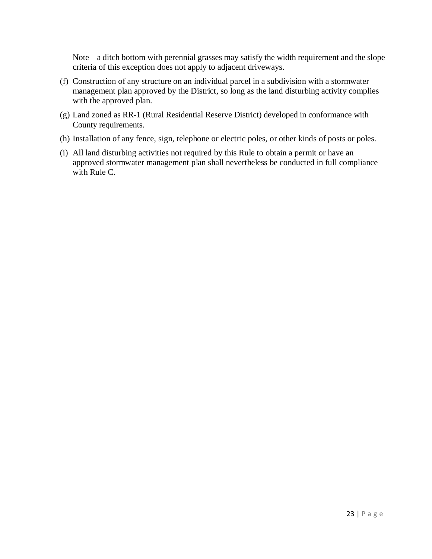Note – a ditch bottom with perennial grasses may satisfy the width requirement and the slope criteria of this exception does not apply to adjacent driveways.

- (f) Construction of any structure on an individual parcel in a subdivision with a stormwater management plan approved by the District, so long as the land disturbing activity complies with the approved plan.
- (g) Land zoned as RR-1 (Rural Residential Reserve District) developed in conformance with County requirements.
- (h) Installation of any fence, sign, telephone or electric poles, or other kinds of posts or poles.
- (i) All land disturbing activities not required by this Rule to obtain a permit or have an approved stormwater management plan shall nevertheless be conducted in full compliance with Rule C.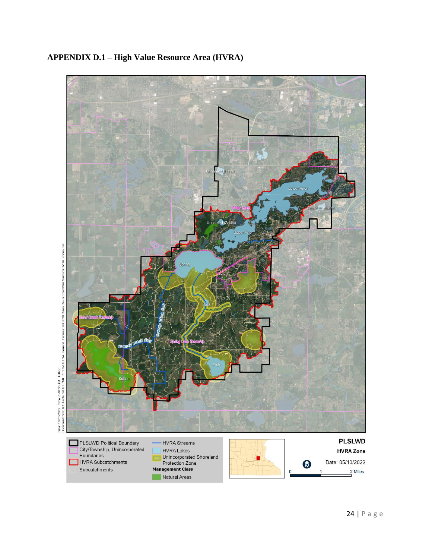

#### **APPENDIX D.1 – High Value Resource Area (HVRA)**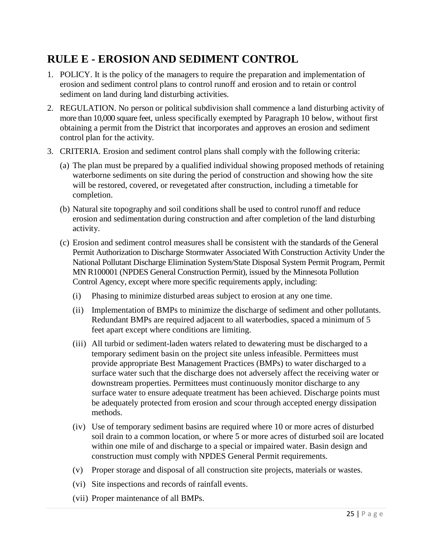### <span id="page-24-0"></span>**RULE E - EROSION AND SEDIMENT CONTROL**

- 1. POLICY. It is the policy of the managers to require the preparation and implementation of erosion and sediment control plans to control runoff and erosion and to retain or control sediment on land during land disturbing activities.
- 2. REGULATION. No person or political subdivision shall commence a land disturbing activity of more than 10,000 square feet, unless specifically exempted by Paragraph 10 below, without first obtaining a permit from the District that incorporates and approves an erosion and sediment control plan for the activity.
- 3. CRITERIA. Erosion and sediment control plans shall comply with the following criteria:
	- (a) The plan must be prepared by a qualified individual showing proposed methods of retaining waterborne sediments on site during the period of construction and showing how the site will be restored, covered, or revegetated after construction, including a timetable for completion.
	- (b) Natural site topography and soil conditions shall be used to control runoff and reduce erosion and sedimentation during construction and after completion of the land disturbing activity.
	- (c) Erosion and sediment control measures shall be consistent with the standards of the General Permit Authorization to Discharge Stormwater Associated With Construction Activity Under the National Pollutant Discharge Elimination System/State Disposal System Permit Program, Permit MN R100001 (NPDES General Construction Permit), issued by the Minnesota Pollution Control Agency, except where more specific requirements apply, including:
		- (i) Phasing to minimize disturbed areas subject to erosion at any one time.
		- (ii) Implementation of BMPs to minimize the discharge of sediment and other pollutants. Redundant BMPs are required adjacent to all waterbodies, spaced a minimum of 5 feet apart except where conditions are limiting.
		- (iii) All turbid or sediment-laden waters related to dewatering must be discharged to a temporary sediment basin on the project site unless infeasible. Permittees must provide appropriate Best Management Practices (BMPs) to water discharged to a surface water such that the discharge does not adversely affect the receiving water or downstream properties. Permittees must continuously monitor discharge to any surface water to ensure adequate treatment has been achieved. Discharge points must be adequately protected from erosion and scour through accepted energy dissipation methods.
		- (iv) Use of temporary sediment basins are required where 10 or more acres of disturbed soil drain to a common location, or where 5 or more acres of disturbed soil are located within one mile of and discharge to a special or impaired water. Basin design and construction must comply with NPDES General Permit requirements.
		- (v) Proper storage and disposal of all construction site projects, materials or wastes.
		- (vi) Site inspections and records of rainfall events.
		- (vii) Proper maintenance of all BMPs.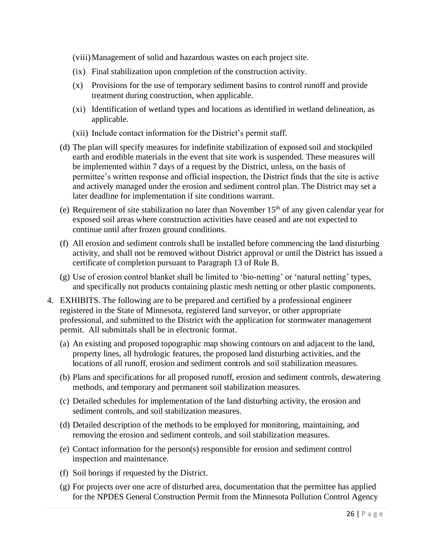(viii)Management of solid and hazardous wastes on each project site.

- (ix) Final stabilization upon completion of the construction activity.
- (x) Provisions for the use of temporary sediment basins to control runoff and provide treatment during construction, when applicable.
- (xi) Identification of wetland types and locations as identified in wetland delineation, as applicable.
- (xii) Include contact information for the District's permit staff.
- (d) The plan will specify measures for indefinite stabilization of exposed soil and stockpiled earth and erodible materials in the event that site work is suspended. These measures will be implemented within 7 days of a request by the District, unless, on the basis of permittee's written response and official inspection, the District finds that the site is active and actively managed under the erosion and sediment control plan. The District may set a later deadline for implementation if site conditions warrant.
- (e) Requirement of site stabilization no later than November  $15<sup>th</sup>$  of any given calendar year for exposed soil areas where construction activities have ceased and are not expected to continue until after frozen ground conditions.
- (f) All erosion and sediment controls shall be installed before commencing the land disturbing activity, and shall not be removed without District approval or until the District has issued a certificate of completion pursuant to Paragraph 13 of Rule B.
- (g) Use of erosion control blanket shall be limited to 'bio-netting' or 'natural netting' types, and specifically not products containing plastic mesh netting or other plastic components.
- 4. EXHIBITS. The following are to be prepared and certified by a professional engineer registered in the State of Minnesota, registered land surveyor, or other appropriate professional, and submitted to the District with the application for stormwater management permit. All submittals shall be in electronic format.
	- (a) An existing and proposed topographic map showing contours on and adjacent to the land, property lines, all hydrologic features, the proposed land disturbing activities, and the locations of all runoff, erosion and sediment controls and soil stabilization measures.
	- (b) Plans and specifications for all proposed runoff, erosion and sediment controls, dewatering methods, and temporary and permanent soil stabilization measures.
	- (c) Detailed schedules for implementation of the land disturbing activity, the erosion and sediment controls, and soil stabilization measures.
	- (d) Detailed description of the methods to be employed for monitoring, maintaining, and removing the erosion and sediment controls, and soil stabilization measures.
	- (e) Contact information for the person(s) responsible for erosion and sediment control inspection and maintenance.
	- (f) Soil borings if requested by the District.
	- (g) For projects over one acre of disturbed area, documentation that the permittee has applied for the NPDES General Construction Permit from the Minnesota Pollution Control Agency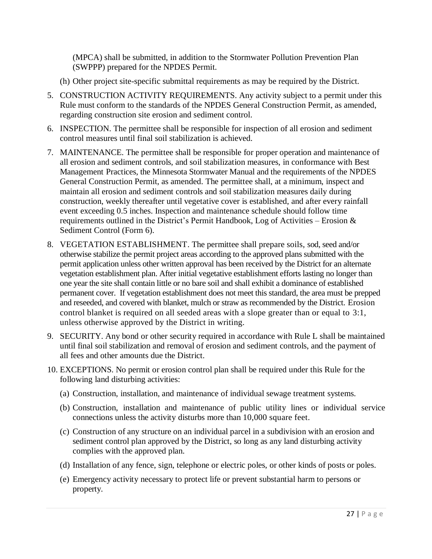(MPCA) shall be submitted, in addition to the Stormwater Pollution Prevention Plan (SWPPP) prepared for the NPDES Permit.

- (h) Other project site-specific submittal requirements as may be required by the District.
- 5. CONSTRUCTION ACTIVITY REQUIREMENTS. Any activity subject to a permit under this Rule must conform to the standards of the NPDES General Construction Permit, as amended, regarding construction site erosion and sediment control.
- 6. INSPECTION. The permittee shall be responsible for inspection of all erosion and sediment control measures until final soil stabilization is achieved.
- 7. MAINTENANCE. The permittee shall be responsible for proper operation and maintenance of all erosion and sediment controls, and soil stabilization measures, in conformance with Best Management Practices, the Minnesota Stormwater Manual and the requirements of the NPDES General Construction Permit, as amended. The permittee shall, at a minimum, inspect and maintain all erosion and sediment controls and soil stabilization measures daily during construction, weekly thereafter until vegetative cover is established, and after every rainfall event exceeding 0.5 inches. Inspection and maintenance schedule should follow time requirements outlined in the District's Permit Handbook, Log of Activities – Erosion  $\&$ Sediment Control (Form 6).
- 8. VEGETATION ESTABLISHMENT. The permittee shall prepare soils, sod, seed and/or otherwise stabilize the permit project areas according to the approved plans submitted with the permit application unless other written approval has been received by the District for an alternate vegetation establishment plan. After initial vegetative establishment efforts lasting no longer than one year the site shall contain little or no bare soil and shall exhibit a dominance of established permanent cover. If vegetation establishment does not meet this standard, the area must be prepped and reseeded, and covered with blanket, mulch or straw as recommended by the District. Erosion control blanket is required on all seeded areas with a slope greater than or equal to 3:1, unless otherwise approved by the District in writing.
- 9. SECURITY. Any bond or other security required in accordance with Rule L shall be maintained until final soil stabilization and removal of erosion and sediment controls, and the payment of all fees and other amounts due the District.
- 10. EXCEPTIONS. No permit or erosion control plan shall be required under this Rule for the following land disturbing activities:
	- (a) Construction, installation, and maintenance of individual sewage treatment systems.
	- (b) Construction, installation and maintenance of public utility lines or individual service connections unless the activity disturbs more than 10,000 square feet.
	- (c) Construction of any structure on an individual parcel in a subdivision with an erosion and sediment control plan approved by the District, so long as any land disturbing activity complies with the approved plan.
	- (d) Installation of any fence, sign, telephone or electric poles, or other kinds of posts or poles.
	- (e) Emergency activity necessary to protect life or prevent substantial harm to persons or property.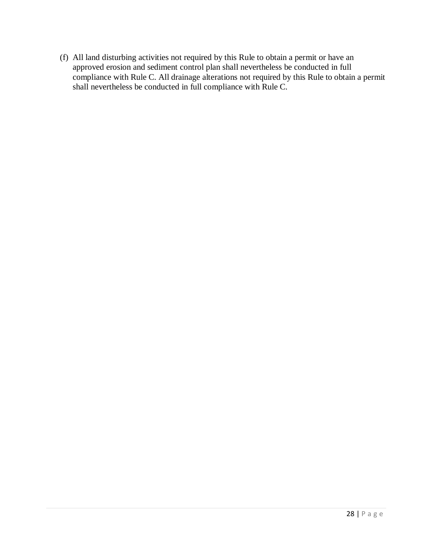(f) All land disturbing activities not required by this Rule to obtain a permit or have an approved erosion and sediment control plan shall nevertheless be conducted in full compliance with Rule C. All drainage alterations not required by this Rule to obtain a permit shall nevertheless be conducted in full compliance with Rule C.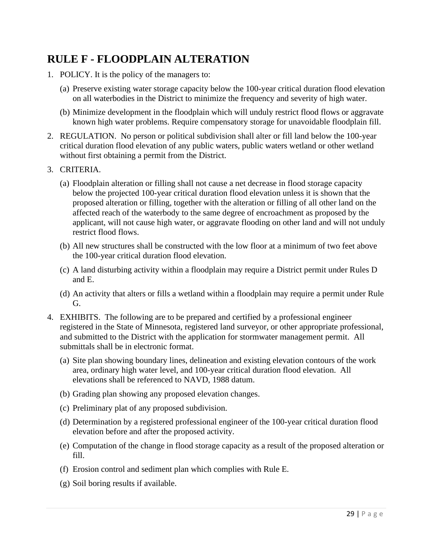#### <span id="page-28-0"></span>**RULE F - FLOODPLAIN ALTERATION**

- 1. POLICY. It is the policy of the managers to:
	- (a) Preserve existing water storage capacity below the 100-year critical duration flood elevation on all waterbodies in the District to minimize the frequency and severity of high water.
	- (b) Minimize development in the floodplain which will unduly restrict flood flows or aggravate known high water problems. Require compensatory storage for unavoidable floodplain fill.
- 2. REGULATION. No person or political subdivision shall alter or fill land below the 100-year critical duration flood elevation of any public waters, public waters wetland or other wetland without first obtaining a permit from the District.
- 3. CRITERIA.
	- (a) Floodplain alteration or filling shall not cause a net decrease in flood storage capacity below the projected 100-year critical duration flood elevation unless it is shown that the proposed alteration or filling, together with the alteration or filling of all other land on the affected reach of the waterbody to the same degree of encroachment as proposed by the applicant, will not cause high water, or aggravate flooding on other land and will not unduly restrict flood flows.
	- (b) All new structures shall be constructed with the low floor at a minimum of two feet above the 100-year critical duration flood elevation.
	- (c) A land disturbing activity within a floodplain may require a District permit under Rules D and E.
	- (d) An activity that alters or fills a wetland within a floodplain may require a permit under Rule G.
- 4. EXHIBITS. The following are to be prepared and certified by a professional engineer registered in the State of Minnesota, registered land surveyor, or other appropriate professional, and submitted to the District with the application for stormwater management permit. All submittals shall be in electronic format.
	- (a) Site plan showing boundary lines, delineation and existing elevation contours of the work area, ordinary high water level, and 100-year critical duration flood elevation. All elevations shall be referenced to NAVD, 1988 datum.
	- (b) Grading plan showing any proposed elevation changes.
	- (c) Preliminary plat of any proposed subdivision.
	- (d) Determination by a registered professional engineer of the 100-year critical duration flood elevation before and after the proposed activity.
	- (e) Computation of the change in flood storage capacity as a result of the proposed alteration or fill.
	- (f) Erosion control and sediment plan which complies with Rule E.
	- (g) Soil boring results if available.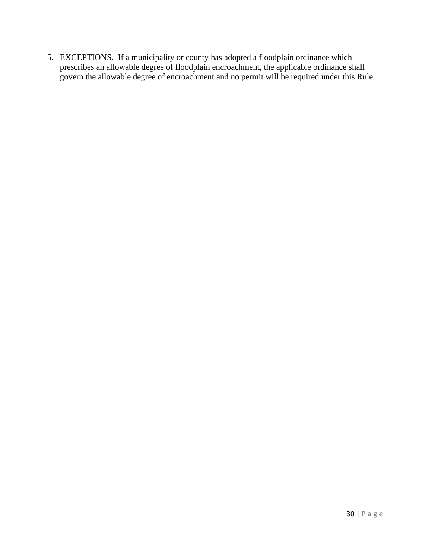5. EXCEPTIONS. If a municipality or county has adopted a floodplain ordinance which prescribes an allowable degree of floodplain encroachment, the applicable ordinance shall govern the allowable degree of encroachment and no permit will be required under this Rule.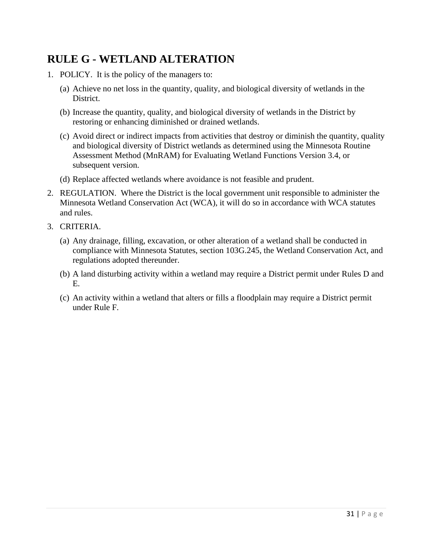### <span id="page-30-0"></span>**RULE G - WETLAND ALTERATION**

- 1. POLICY. It is the policy of the managers to:
	- (a) Achieve no net loss in the quantity, quality, and biological diversity of wetlands in the District.
	- (b) Increase the quantity, quality, and biological diversity of wetlands in the District by restoring or enhancing diminished or drained wetlands.
	- (c) Avoid direct or indirect impacts from activities that destroy or diminish the quantity, quality and biological diversity of District wetlands as determined using the Minnesota Routine Assessment Method (MnRAM) for Evaluating Wetland Functions Version 3.4, or subsequent version.
	- (d) Replace affected wetlands where avoidance is not feasible and prudent.
- 2. REGULATION. Where the District is the local government unit responsible to administer the Minnesota Wetland Conservation Act (WCA), it will do so in accordance with WCA statutes and rules.
- 3. CRITERIA.
	- (a) Any drainage, filling, excavation, or other alteration of a wetland shall be conducted in compliance with Minnesota Statutes, section 103G.245, the Wetland Conservation Act, and regulations adopted thereunder.
	- (b) A land disturbing activity within a wetland may require a District permit under Rules D and E.
	- (c) An activity within a wetland that alters or fills a floodplain may require a District permit under Rule F.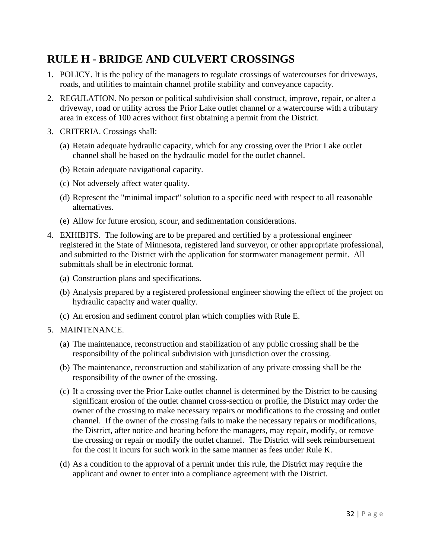### <span id="page-31-0"></span>**RULE H - BRIDGE AND CULVERT CROSSINGS**

- 1. POLICY. It is the policy of the managers to regulate crossings of watercourses for driveways, roads, and utilities to maintain channel profile stability and conveyance capacity.
- 2. REGULATION. No person or political subdivision shall construct, improve, repair, or alter a driveway, road or utility across the Prior Lake outlet channel or a watercourse with a tributary area in excess of 100 acres without first obtaining a permit from the District.
- 3. CRITERIA. Crossings shall:
	- (a) Retain adequate hydraulic capacity, which for any crossing over the Prior Lake outlet channel shall be based on the hydraulic model for the outlet channel.
	- (b) Retain adequate navigational capacity.
	- (c) Not adversely affect water quality.
	- (d) Represent the "minimal impact" solution to a specific need with respect to all reasonable alternatives.
	- (e) Allow for future erosion, scour, and sedimentation considerations.
- 4. EXHIBITS. The following are to be prepared and certified by a professional engineer registered in the State of Minnesota, registered land surveyor, or other appropriate professional, and submitted to the District with the application for stormwater management permit. All submittals shall be in electronic format.
	- (a) Construction plans and specifications.
	- (b) Analysis prepared by a registered professional engineer showing the effect of the project on hydraulic capacity and water quality.
	- (c) An erosion and sediment control plan which complies with Rule E.
- 5. MAINTENANCE.
	- (a) The maintenance, reconstruction and stabilization of any public crossing shall be the responsibility of the political subdivision with jurisdiction over the crossing.
	- (b) The maintenance, reconstruction and stabilization of any private crossing shall be the responsibility of the owner of the crossing.
	- (c) If a crossing over the Prior Lake outlet channel is determined by the District to be causing significant erosion of the outlet channel cross-section or profile, the District may order the owner of the crossing to make necessary repairs or modifications to the crossing and outlet channel. If the owner of the crossing fails to make the necessary repairs or modifications, the District, after notice and hearing before the managers, may repair, modify, or remove the crossing or repair or modify the outlet channel. The District will seek reimbursement for the cost it incurs for such work in the same manner as fees under Rule K.
	- (d) As a condition to the approval of a permit under this rule, the District may require the applicant and owner to enter into a compliance agreement with the District.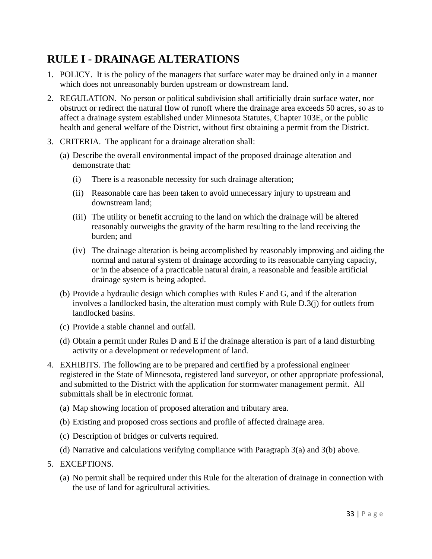### <span id="page-32-0"></span>**RULE I - DRAINAGE ALTERATIONS**

- 1. POLICY. It is the policy of the managers that surface water may be drained only in a manner which does not unreasonably burden upstream or downstream land.
- 2. REGULATION. No person or political subdivision shall artificially drain surface water, nor obstruct or redirect the natural flow of runoff where the drainage area exceeds 50 acres, so as to affect a drainage system established under Minnesota Statutes, Chapter 103E, or the public health and general welfare of the District, without first obtaining a permit from the District.
- 3. CRITERIA. The applicant for a drainage alteration shall:
	- (a) Describe the overall environmental impact of the proposed drainage alteration and demonstrate that:
		- (i) There is a reasonable necessity for such drainage alteration;
		- (ii) Reasonable care has been taken to avoid unnecessary injury to upstream and downstream land;
		- (iii) The utility or benefit accruing to the land on which the drainage will be altered reasonably outweighs the gravity of the harm resulting to the land receiving the burden; and
		- (iv) The drainage alteration is being accomplished by reasonably improving and aiding the normal and natural system of drainage according to its reasonable carrying capacity, or in the absence of a practicable natural drain, a reasonable and feasible artificial drainage system is being adopted.
	- (b) Provide a hydraulic design which complies with Rules F and G, and if the alteration involves a landlocked basin, the alteration must comply with Rule D.3(j) for outlets from landlocked basins.
	- (c) Provide a stable channel and outfall.
	- (d) Obtain a permit under Rules D and E if the drainage alteration is part of a land disturbing activity or a development or redevelopment of land.
- 4. EXHIBITS. The following are to be prepared and certified by a professional engineer registered in the State of Minnesota, registered land surveyor, or other appropriate professional, and submitted to the District with the application for stormwater management permit. All submittals shall be in electronic format.
	- (a) Map showing location of proposed alteration and tributary area.
	- (b) Existing and proposed cross sections and profile of affected drainage area.
	- (c) Description of bridges or culverts required.
	- (d) Narrative and calculations verifying compliance with Paragraph 3(a) and 3(b) above.
- 5. EXCEPTIONS.
	- (a) No permit shall be required under this Rule for the alteration of drainage in connection with the use of land for agricultural activities.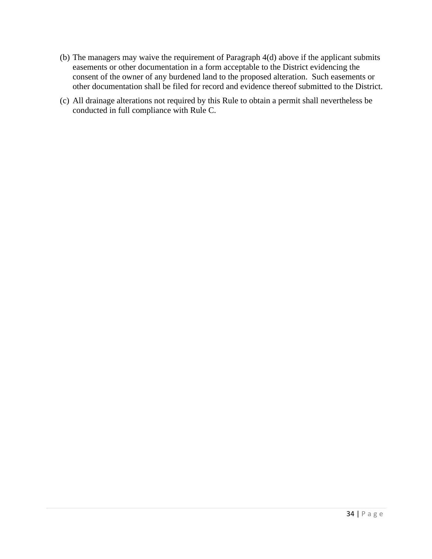- (b) The managers may waive the requirement of Paragraph 4(d) above if the applicant submits easements or other documentation in a form acceptable to the District evidencing the consent of the owner of any burdened land to the proposed alteration. Such easements or other documentation shall be filed for record and evidence thereof submitted to the District.
- (c) All drainage alterations not required by this Rule to obtain a permit shall nevertheless be conducted in full compliance with Rule C.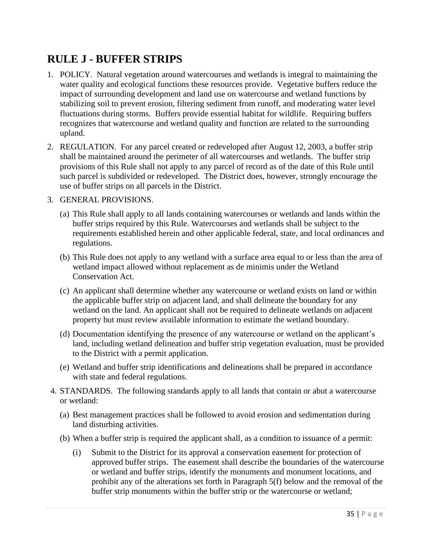### <span id="page-34-0"></span>**RULE J - BUFFER STRIPS**

- 1. POLICY. Natural vegetation around watercourses and wetlands is integral to maintaining the water quality and ecological functions these resources provide. Vegetative buffers reduce the impact of surrounding development and land use on watercourse and wetland functions by stabilizing soil to prevent erosion, filtering sediment from runoff, and moderating water level fluctuations during storms. Buffers provide essential habitat for wildlife. Requiring buffers recognizes that watercourse and wetland quality and function are related to the surrounding upland.
- 2. REGULATION. For any parcel created or redeveloped after August 12, 2003, a buffer strip shall be maintained around the perimeter of all watercourses and wetlands. The buffer strip provisions of this Rule shall not apply to any parcel of record as of the date of this Rule until such parcel is subdivided or redeveloped. The District does, however, strongly encourage the use of buffer strips on all parcels in the District.

#### 3. GENERAL PROVISIONS.

- (a) This Rule shall apply to all lands containing watercourses or wetlands and lands within the buffer strips required by this Rule. Watercourses and wetlands shall be subject to the requirements established herein and other applicable federal, state, and local ordinances and regulations.
- (b) This Rule does not apply to any wetland with a surface area equal to or less than the area of wetland impact allowed without replacement as de minimis under the Wetland Conservation Act.
- (c) An applicant shall determine whether any watercourse or wetland exists on land or within the applicable buffer strip on adjacent land, and shall delineate the boundary for any wetland on the land. An applicant shall not be required to delineate wetlands on adjacent property but must review available information to estimate the wetland boundary.
- (d) Documentation identifying the presence of any watercourse or wetland on the applicant's land, including wetland delineation and buffer strip vegetation evaluation, must be provided to the District with a permit application.
- (e) Wetland and buffer strip identifications and delineations shall be prepared in accordance with state and federal regulations.
- 4. STANDARDS. The following standards apply to all lands that contain or abut a watercourse or wetland:
	- (a) Best management practices shall be followed to avoid erosion and sedimentation during land disturbing activities.
	- (b) When a buffer strip is required the applicant shall, as a condition to issuance of a permit:
		- (i) Submit to the District for its approval a conservation easement for protection of approved buffer strips. The easement shall describe the boundaries of the watercourse or wetland and buffer strips, identify the monuments and monument locations, and prohibit any of the alterations set forth in Paragraph 5(f) below and the removal of the buffer strip monuments within the buffer strip or the watercourse or wetland;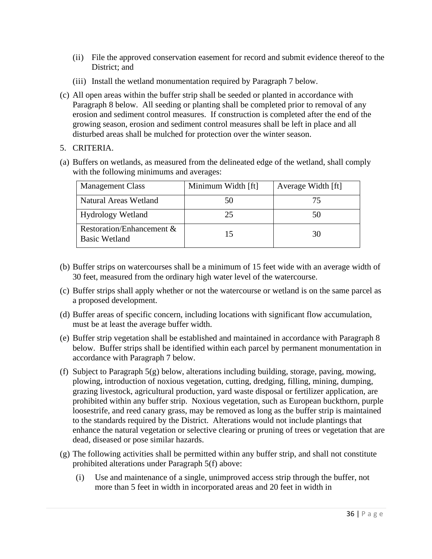- (ii) File the approved conservation easement for record and submit evidence thereof to the District; and
- (iii) Install the wetland monumentation required by Paragraph 7 below.
- (c) All open areas within the buffer strip shall be seeded or planted in accordance with Paragraph 8 below. All seeding or planting shall be completed prior to removal of any erosion and sediment control measures. If construction is completed after the end of the growing season, erosion and sediment control measures shall be left in place and all disturbed areas shall be mulched for protection over the winter season.
- 5. CRITERIA.
- (a) Buffers on wetlands, as measured from the delineated edge of the wetland, shall comply with the following minimums and averages:

| <b>Management Class</b>                           | Minimum Width [ft] | Average Width [ft] |
|---------------------------------------------------|--------------------|--------------------|
| <b>Natural Areas Wetland</b>                      | 50                 |                    |
| <b>Hydrology Wetland</b>                          | 25                 |                    |
| Restoration/Enhancement &<br><b>Basic Wetland</b> | 15                 | 30                 |

- (b) Buffer strips on watercourses shall be a minimum of 15 feet wide with an average width of 30 feet, measured from the ordinary high water level of the watercourse.
- (c) Buffer strips shall apply whether or not the watercourse or wetland is on the same parcel as a proposed development.
- (d) Buffer areas of specific concern, including locations with significant flow accumulation, must be at least the average buffer width.
- (e) Buffer strip vegetation shall be established and maintained in accordance with Paragraph 8 below. Buffer strips shall be identified within each parcel by permanent monumentation in accordance with Paragraph 7 below.
- (f) Subject to Paragraph 5(g) below, alterations including building, storage, paving, mowing, plowing, introduction of noxious vegetation, cutting, dredging, filling, mining, dumping, grazing livestock, agricultural production, yard waste disposal or fertilizer application, are prohibited within any buffer strip. Noxious vegetation, such as European buckthorn, purple loosestrife, and reed canary grass, may be removed as long as the buffer strip is maintained to the standards required by the District. Alterations would not include plantings that enhance the natural vegetation or selective clearing or pruning of trees or vegetation that are dead, diseased or pose similar hazards.
- (g) The following activities shall be permitted within any buffer strip, and shall not constitute prohibited alterations under Paragraph 5(f) above:
	- (i) Use and maintenance of a single, unimproved access strip through the buffer, not more than 5 feet in width in incorporated areas and 20 feet in width in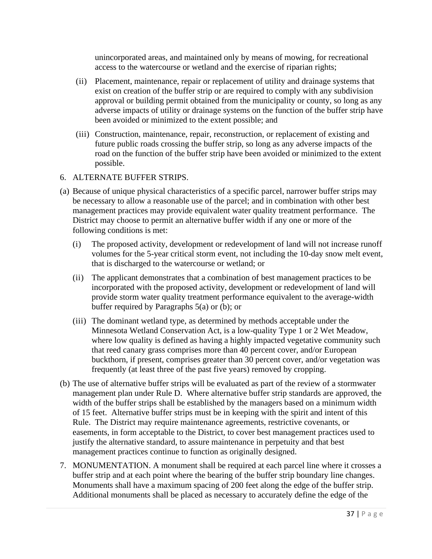unincorporated areas, and maintained only by means of mowing, for recreational access to the watercourse or wetland and the exercise of riparian rights;

- (ii) Placement, maintenance, repair or replacement of utility and drainage systems that exist on creation of the buffer strip or are required to comply with any subdivision approval or building permit obtained from the municipality or county, so long as any adverse impacts of utility or drainage systems on the function of the buffer strip have been avoided or minimized to the extent possible; and
- (iii) Construction, maintenance, repair, reconstruction, or replacement of existing and future public roads crossing the buffer strip, so long as any adverse impacts of the road on the function of the buffer strip have been avoided or minimized to the extent possible.

#### 6. ALTERNATE BUFFER STRIPS.

- (a) Because of unique physical characteristics of a specific parcel, narrower buffer strips may be necessary to allow a reasonable use of the parcel; and in combination with other best management practices may provide equivalent water quality treatment performance. The District may choose to permit an alternative buffer width if any one or more of the following conditions is met:
	- (i) The proposed activity, development or redevelopment of land will not increase runoff volumes for the 5-year critical storm event, not including the 10-day snow melt event, that is discharged to the watercourse or wetland; or
	- (ii) The applicant demonstrates that a combination of best management practices to be incorporated with the proposed activity, development or redevelopment of land will provide storm water quality treatment performance equivalent to the average-width buffer required by Paragraphs 5(a) or (b); or
	- (iii) The dominant wetland type, as determined by methods acceptable under the Minnesota Wetland Conservation Act, is a low-quality Type 1 or 2 Wet Meadow, where low quality is defined as having a highly impacted vegetative community such that reed canary grass comprises more than 40 percent cover, and/or European buckthorn, if present, comprises greater than 30 percent cover, and/or vegetation was frequently (at least three of the past five years) removed by cropping.
- (b) The use of alternative buffer strips will be evaluated as part of the review of a stormwater management plan under Rule D. Where alternative buffer strip standards are approved, the width of the buffer strips shall be established by the managers based on a minimum width of 15 feet. Alternative buffer strips must be in keeping with the spirit and intent of this Rule. The District may require maintenance agreements, restrictive covenants, or easements, in form acceptable to the District, to cover best management practices used to justify the alternative standard, to assure maintenance in perpetuity and that best management practices continue to function as originally designed.
- 7. MONUMENTATION. A monument shall be required at each parcel line where it crosses a buffer strip and at each point where the bearing of the buffer strip boundary line changes. Monuments shall have a maximum spacing of 200 feet along the edge of the buffer strip. Additional monuments shall be placed as necessary to accurately define the edge of the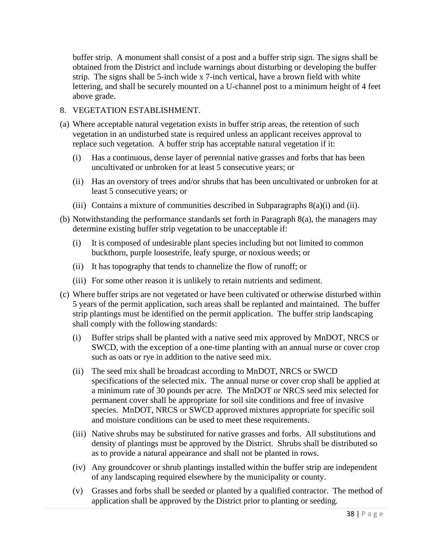buffer strip. A monument shall consist of a post and a buffer strip sign. The signs shall be obtained from the District and include warnings about disturbing or developing the buffer strip. The signs shall be 5-inch wide x 7-inch vertical, have a brown field with white lettering, and shall be securely mounted on a U-channel post to a minimum height of 4 feet above grade.

#### 8. VEGETATION ESTABLISHMENT.

- (a) Where acceptable natural vegetation exists in buffer strip areas, the retention of such vegetation in an undisturbed state is required unless an applicant receives approval to replace such vegetation. A buffer strip has acceptable natural vegetation if it:
	- (i) Has a continuous, dense layer of perennial native grasses and forbs that has been uncultivated or unbroken for at least 5 consecutive years; or
	- (ii) Has an overstory of trees and/or shrubs that has been uncultivated or unbroken for at least 5 consecutive years; or
	- (iii) Contains a mixture of communities described in Subparagraphs 8(a)(i) and (ii).
- (b) Notwithstanding the performance standards set forth in Paragraph 8(a), the managers may determine existing buffer strip vegetation to be unacceptable if:
	- (i) It is composed of undesirable plant species including but not limited to common buckthorn, purple loosestrife, leafy spurge, or noxious weeds; or
	- (ii) It has topography that tends to channelize the flow of runoff; or
	- (iii) For some other reason it is unlikely to retain nutrients and sediment.
- (c) Where buffer strips are not vegetated or have been cultivated or otherwise disturbed within 5 years of the permit application, such areas shall be replanted and maintained. The buffer strip plantings must be identified on the permit application. The buffer strip landscaping shall comply with the following standards:
	- (i) Buffer strips shall be planted with a native seed mix approved by MnDOT, NRCS or SWCD, with the exception of a one-time planting with an annual nurse or cover crop such as oats or rye in addition to the native seed mix.
	- (ii) The seed mix shall be broadcast according to MnDOT, NRCS or SWCD specifications of the selected mix. The annual nurse or cover crop shall be applied at a minimum rate of 30 pounds per acre. The MnDOT or NRCS seed mix selected for permanent cover shall be appropriate for soil site conditions and free of invasive species. MnDOT, NRCS or SWCD approved mixtures appropriate for specific soil and moisture conditions can be used to meet these requirements.
	- (iii) Native shrubs may be substituted for native grasses and forbs. All substitutions and density of plantings must be approved by the District. Shrubs shall be distributed so as to provide a natural appearance and shall not be planted in rows.
	- (iv) Any groundcover or shrub plantings installed within the buffer strip are independent of any landscaping required elsewhere by the municipality or county.
	- (v) Grasses and forbs shall be seeded or planted by a qualified contractor. The method of application shall be approved by the District prior to planting or seeding.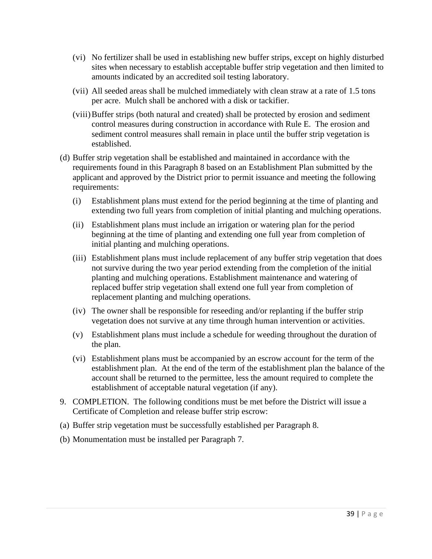- (vi) No fertilizer shall be used in establishing new buffer strips, except on highly disturbed sites when necessary to establish acceptable buffer strip vegetation and then limited to amounts indicated by an accredited soil testing laboratory.
- (vii) All seeded areas shall be mulched immediately with clean straw at a rate of 1.5 tons per acre. Mulch shall be anchored with a disk or tackifier.
- (viii)Buffer strips (both natural and created) shall be protected by erosion and sediment control measures during construction in accordance with Rule E. The erosion and sediment control measures shall remain in place until the buffer strip vegetation is established.
- (d) Buffer strip vegetation shall be established and maintained in accordance with the requirements found in this Paragraph 8 based on an Establishment Plan submitted by the applicant and approved by the District prior to permit issuance and meeting the following requirements:
	- (i) Establishment plans must extend for the period beginning at the time of planting and extending two full years from completion of initial planting and mulching operations.
	- (ii) Establishment plans must include an irrigation or watering plan for the period beginning at the time of planting and extending one full year from completion of initial planting and mulching operations.
	- (iii) Establishment plans must include replacement of any buffer strip vegetation that does not survive during the two year period extending from the completion of the initial planting and mulching operations. Establishment maintenance and watering of replaced buffer strip vegetation shall extend one full year from completion of replacement planting and mulching operations.
	- (iv) The owner shall be responsible for reseeding and/or replanting if the buffer strip vegetation does not survive at any time through human intervention or activities.
	- (v) Establishment plans must include a schedule for weeding throughout the duration of the plan.
	- (vi) Establishment plans must be accompanied by an escrow account for the term of the establishment plan. At the end of the term of the establishment plan the balance of the account shall be returned to the permittee, less the amount required to complete the establishment of acceptable natural vegetation (if any).
- 9. COMPLETION. The following conditions must be met before the District will issue a Certificate of Completion and release buffer strip escrow:
- (a) Buffer strip vegetation must be successfully established per Paragraph 8.
- (b) Monumentation must be installed per Paragraph 7.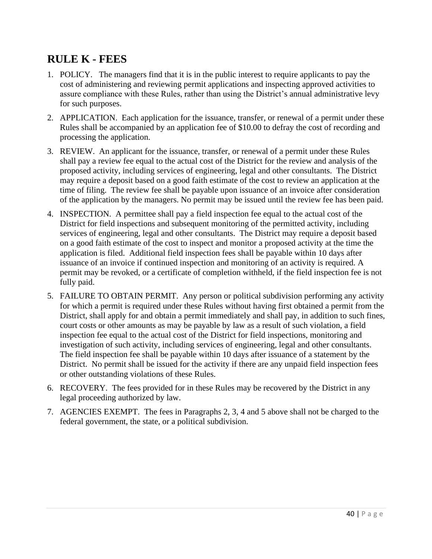#### <span id="page-39-0"></span>**RULE K - FEES**

- 1. POLICY. The managers find that it is in the public interest to require applicants to pay the cost of administering and reviewing permit applications and inspecting approved activities to assure compliance with these Rules, rather than using the District's annual administrative levy for such purposes.
- 2. APPLICATION. Each application for the issuance, transfer, or renewal of a permit under these Rules shall be accompanied by an application fee of \$10.00 to defray the cost of recording and processing the application.
- 3. REVIEW. An applicant for the issuance, transfer, or renewal of a permit under these Rules shall pay a review fee equal to the actual cost of the District for the review and analysis of the proposed activity, including services of engineering, legal and other consultants. The District may require a deposit based on a good faith estimate of the cost to review an application at the time of filing. The review fee shall be payable upon issuance of an invoice after consideration of the application by the managers. No permit may be issued until the review fee has been paid.
- 4. INSPECTION. A permittee shall pay a field inspection fee equal to the actual cost of the District for field inspections and subsequent monitoring of the permitted activity, including services of engineering, legal and other consultants. The District may require a deposit based on a good faith estimate of the cost to inspect and monitor a proposed activity at the time the application is filed. Additional field inspection fees shall be payable within 10 days after issuance of an invoice if continued inspection and monitoring of an activity is required. A permit may be revoked, or a certificate of completion withheld, if the field inspection fee is not fully paid.
- 5. FAILURE TO OBTAIN PERMIT. Any person or political subdivision performing any activity for which a permit is required under these Rules without having first obtained a permit from the District, shall apply for and obtain a permit immediately and shall pay, in addition to such fines, court costs or other amounts as may be payable by law as a result of such violation, a field inspection fee equal to the actual cost of the District for field inspections, monitoring and investigation of such activity, including services of engineering, legal and other consultants. The field inspection fee shall be payable within 10 days after issuance of a statement by the District. No permit shall be issued for the activity if there are any unpaid field inspection fees or other outstanding violations of these Rules.
- 6. RECOVERY. The fees provided for in these Rules may be recovered by the District in any legal proceeding authorized by law.
- 7. AGENCIES EXEMPT. The fees in Paragraphs 2, 3, 4 and 5 above shall not be charged to the federal government, the state, or a political subdivision.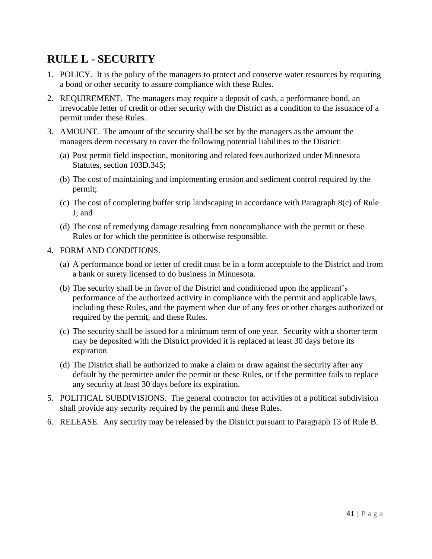### <span id="page-40-0"></span>**RULE L - SECURITY**

- 1. POLICY. It is the policy of the managers to protect and conserve water resources by requiring a bond or other security to assure compliance with these Rules.
- 2. REQUIREMENT. The managers may require a deposit of cash, a performance bond, an irrevocable letter of credit or other security with the District as a condition to the issuance of a permit under these Rules.
- 3. AMOUNT. The amount of the security shall be set by the managers as the amount the managers deem necessary to cover the following potential liabilities to the District:
	- (a) Post permit field inspection, monitoring and related fees authorized under Minnesota Statutes, section 103D.345;
	- (b) The cost of maintaining and implementing erosion and sediment control required by the permit;
	- (c) The cost of completing buffer strip landscaping in accordance with Paragraph 8(c) of Rule J; and
	- (d) The cost of remedying damage resulting from noncompliance with the permit or these Rules or for which the permittee is otherwise responsible.
- 4. FORM AND CONDITIONS.
	- (a) A performance bond or letter of credit must be in a form acceptable to the District and from a bank or surety licensed to do business in Minnesota.
	- (b) The security shall be in favor of the District and conditioned upon the applicant's performance of the authorized activity in compliance with the permit and applicable laws, including these Rules, and the payment when due of any fees or other charges authorized or required by the permit, and these Rules.
	- (c) The security shall be issued for a minimum term of one year. Security with a shorter term may be deposited with the District provided it is replaced at least 30 days before its expiration.
	- (d) The District shall be authorized to make a claim or draw against the security after any default by the permittee under the permit or these Rules, or if the permittee fails to replace any security at least 30 days before its expiration.
- 5. POLITICAL SUBDIVISIONS. The general contractor for activities of a political subdivision shall provide any security required by the permit and these Rules.
- 6. RELEASE. Any security may be released by the District pursuant to Paragraph 13 of Rule B.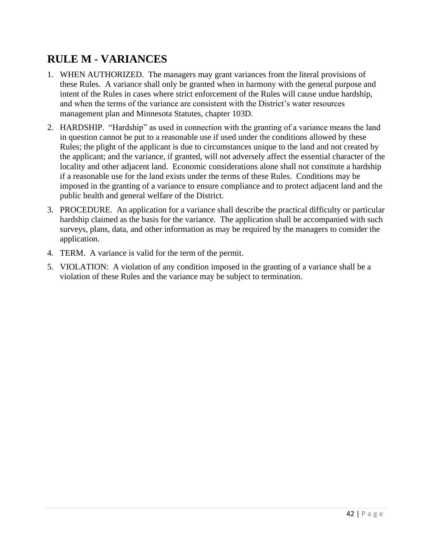### <span id="page-41-0"></span>**RULE M - VARIANCES**

- 1. WHEN AUTHORIZED. The managers may grant variances from the literal provisions of these Rules. A variance shall only be granted when in harmony with the general purpose and intent of the Rules in cases where strict enforcement of the Rules will cause undue hardship, and when the terms of the variance are consistent with the District's water resources management plan and Minnesota Statutes, chapter 103D.
- 2. HARDSHIP. "Hardship" as used in connection with the granting of a variance means the land in question cannot be put to a reasonable use if used under the conditions allowed by these Rules; the plight of the applicant is due to circumstances unique to the land and not created by the applicant; and the variance, if granted, will not adversely affect the essential character of the locality and other adjacent land. Economic considerations alone shall not constitute a hardship if a reasonable use for the land exists under the terms of these Rules. Conditions may be imposed in the granting of a variance to ensure compliance and to protect adjacent land and the public health and general welfare of the District.
- 3. PROCEDURE. An application for a variance shall describe the practical difficulty or particular hardship claimed as the basis for the variance. The application shall be accompanied with such surveys, plans, data, and other information as may be required by the managers to consider the application.
- 4. TERM. A variance is valid for the term of the permit.
- 5. VIOLATION: A violation of any condition imposed in the granting of a variance shall be a violation of these Rules and the variance may be subject to termination.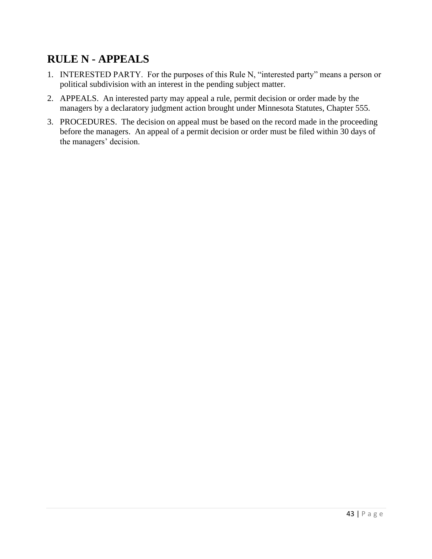#### <span id="page-42-0"></span>**RULE N - APPEALS**

- 1. INTERESTED PARTY. For the purposes of this Rule N, "interested party" means a person or political subdivision with an interest in the pending subject matter.
- 2. APPEALS. An interested party may appeal a rule, permit decision or order made by the managers by a declaratory judgment action brought under Minnesota Statutes, Chapter 555.
- 3. PROCEDURES. The decision on appeal must be based on the record made in the proceeding before the managers. An appeal of a permit decision or order must be filed within 30 days of the managers' decision.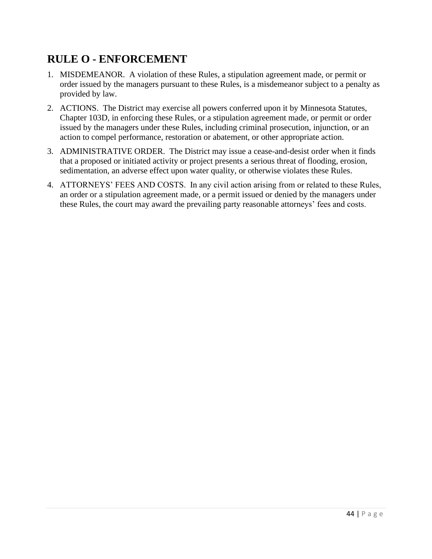### <span id="page-43-0"></span>**RULE O - ENFORCEMENT**

- 1. MISDEMEANOR. A violation of these Rules, a stipulation agreement made, or permit or order issued by the managers pursuant to these Rules, is a misdemeanor subject to a penalty as provided by law.
- 2. ACTIONS. The District may exercise all powers conferred upon it by Minnesota Statutes, Chapter 103D, in enforcing these Rules, or a stipulation agreement made, or permit or order issued by the managers under these Rules, including criminal prosecution, injunction, or an action to compel performance, restoration or abatement, or other appropriate action.
- 3. ADMINISTRATIVE ORDER. The District may issue a cease-and-desist order when it finds that a proposed or initiated activity or project presents a serious threat of flooding, erosion, sedimentation, an adverse effect upon water quality, or otherwise violates these Rules.
- 4. ATTORNEYS' FEES AND COSTS. In any civil action arising from or related to these Rules, an order or a stipulation agreement made, or a permit issued or denied by the managers under these Rules, the court may award the prevailing party reasonable attorneys' fees and costs.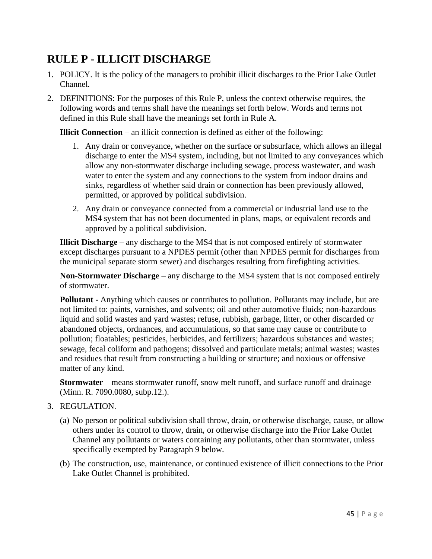#### <span id="page-44-0"></span>**RULE P - ILLICIT DISCHARGE**

- 1. POLICY. It is the policy of the managers to prohibit illicit discharges to the Prior Lake Outlet Channel.
- 2. DEFINITIONS: For the purposes of this Rule P, unless the context otherwise requires, the following words and terms shall have the meanings set forth below. Words and terms not defined in this Rule shall have the meanings set forth in Rule A.

**Illicit Connection** – an illicit connection is defined as either of the following:

- 1. Any drain or conveyance, whether on the surface or subsurface, which allows an illegal discharge to enter the MS4 system, including, but not limited to any conveyances which allow any non-stormwater discharge including sewage, process wastewater, and wash water to enter the system and any connections to the system from indoor drains and sinks, regardless of whether said drain or connection has been previously allowed, permitted, or approved by political subdivision.
- 2. Any drain or conveyance connected from a commercial or industrial land use to the MS4 system that has not been documented in plans, maps, or equivalent records and approved by a political subdivision.

**Illicit Discharge** – any discharge to the MS4 that is not composed entirely of stormwater except discharges pursuant to a NPDES permit (other than NPDES permit for discharges from the municipal separate storm sewer) and discharges resulting from firefighting activities.

**Non-Stormwater Discharge** – any discharge to the MS4 system that is not composed entirely of stormwater.

**Pollutant -** Anything which causes or contributes to pollution. Pollutants may include, but are not limited to: paints, varnishes, and solvents; oil and other automotive fluids; non-hazardous liquid and solid wastes and yard wastes; refuse, rubbish, garbage, litter, or other discarded or abandoned objects, ordnances, and accumulations, so that same may cause or contribute to pollution; floatables; pesticides, herbicides, and fertilizers; hazardous substances and wastes; sewage, fecal coliform and pathogens; dissolved and particulate metals; animal wastes; wastes and residues that result from constructing a building or structure; and noxious or offensive matter of any kind.

**Stormwater** – means stormwater runoff, snow melt runoff, and surface runoff and drainage (Minn. R. 7090.0080, subp.12.).

#### 3. REGULATION.

- (a) No person or political subdivision shall throw, drain, or otherwise discharge, cause, or allow others under its control to throw, drain, or otherwise discharge into the Prior Lake Outlet Channel any pollutants or waters containing any pollutants, other than stormwater, unless specifically exempted by Paragraph 9 below.
- (b) The construction, use, maintenance, or continued existence of illicit connections to the Prior Lake Outlet Channel is prohibited.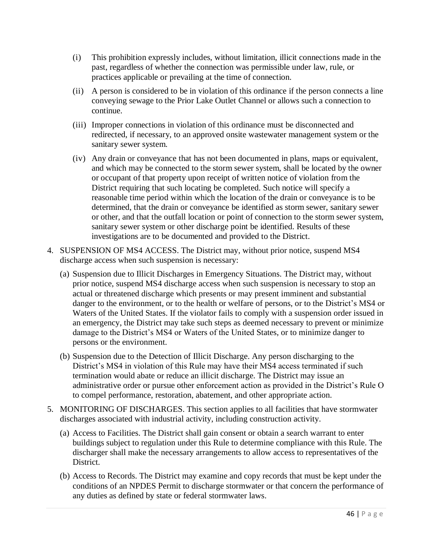- (i) This prohibition expressly includes, without limitation, illicit connections made in the past, regardless of whether the connection was permissible under law, rule, or practices applicable or prevailing at the time of connection.
- (ii) A person is considered to be in violation of this ordinance if the person connects a line conveying sewage to the Prior Lake Outlet Channel or allows such a connection to continue.
- (iii) Improper connections in violation of this ordinance must be disconnected and redirected, if necessary, to an approved onsite wastewater management system or the sanitary sewer system.
- (iv) Any drain or conveyance that has not been documented in plans, maps or equivalent, and which may be connected to the storm sewer system, shall be located by the owner or occupant of that property upon receipt of written notice of violation from the District requiring that such locating be completed. Such notice will specify a reasonable time period within which the location of the drain or conveyance is to be determined, that the drain or conveyance be identified as storm sewer, sanitary sewer or other, and that the outfall location or point of connection to the storm sewer system, sanitary sewer system or other discharge point be identified. Results of these investigations are to be documented and provided to the District.
- 4. SUSPENSION OF MS4 ACCESS. The District may, without prior notice, suspend MS4 discharge access when such suspension is necessary:
	- (a) Suspension due to Illicit Discharges in Emergency Situations. The District may, without prior notice, suspend MS4 discharge access when such suspension is necessary to stop an actual or threatened discharge which presents or may present imminent and substantial danger to the environment, or to the health or welfare of persons, or to the District's MS4 or Waters of the United States. If the violator fails to comply with a suspension order issued in an emergency, the District may take such steps as deemed necessary to prevent or minimize damage to the District's MS4 or Waters of the United States, or to minimize danger to persons or the environment.
	- (b) Suspension due to the Detection of Illicit Discharge. Any person discharging to the District's MS4 in violation of this Rule may have their MS4 access terminated if such termination would abate or reduce an illicit discharge. The District may issue an administrative order or pursue other enforcement action as provided in the District's Rule O to compel performance, restoration, abatement, and other appropriate action.
- 5. MONITORING OF DISCHARGES. This section applies to all facilities that have stormwater discharges associated with industrial activity, including construction activity.
	- (a) Access to Facilities. The District shall gain consent or obtain a search warrant to enter buildings subject to regulation under this Rule to determine compliance with this Rule. The discharger shall make the necessary arrangements to allow access to representatives of the District.
	- (b) Access to Records. The District may examine and copy records that must be kept under the conditions of an NPDES Permit to discharge stormwater or that concern the performance of any duties as defined by state or federal stormwater laws.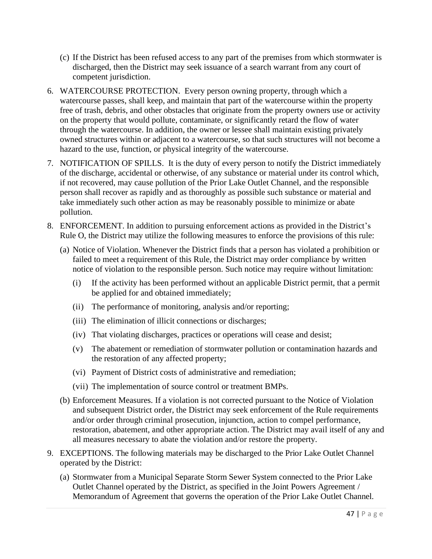- (c) If the District has been refused access to any part of the premises from which stormwater is discharged, then the District may seek issuance of a search warrant from any court of competent jurisdiction.
- 6. WATERCOURSE PROTECTION. Every person owning property, through which a watercourse passes, shall keep, and maintain that part of the watercourse within the property free of trash, debris, and other obstacles that originate from the property owners use or activity on the property that would pollute, contaminate, or significantly retard the flow of water through the watercourse. In addition, the owner or lessee shall maintain existing privately owned structures within or adjacent to a watercourse, so that such structures will not become a hazard to the use, function, or physical integrity of the watercourse.
- 7. NOTIFICATION OF SPILLS. It is the duty of every person to notify the District immediately of the discharge, accidental or otherwise, of any substance or material under its control which, if not recovered, may cause pollution of the Prior Lake Outlet Channel, and the responsible person shall recover as rapidly and as thoroughly as possible such substance or material and take immediately such other action as may be reasonably possible to minimize or abate pollution.
- 8. ENFORCEMENT. In addition to pursuing enforcement actions as provided in the District's Rule O, the District may utilize the following measures to enforce the provisions of this rule:
	- (a) Notice of Violation. Whenever the District finds that a person has violated a prohibition or failed to meet a requirement of this Rule, the District may order compliance by written notice of violation to the responsible person. Such notice may require without limitation:
		- (i) If the activity has been performed without an applicable District permit, that a permit be applied for and obtained immediately;
		- (ii) The performance of monitoring, analysis and/or reporting;
		- (iii) The elimination of illicit connections or discharges;
		- (iv) That violating discharges, practices or operations will cease and desist;
		- (v) The abatement or remediation of stormwater pollution or contamination hazards and the restoration of any affected property;
		- (vi) Payment of District costs of administrative and remediation;
		- (vii) The implementation of source control or treatment BMPs.
	- (b) Enforcement Measures. If a violation is not corrected pursuant to the Notice of Violation and subsequent District order, the District may seek enforcement of the Rule requirements and/or order through criminal prosecution, injunction, action to compel performance, restoration, abatement, and other appropriate action. The District may avail itself of any and all measures necessary to abate the violation and/or restore the property.
- 9. EXCEPTIONS. The following materials may be discharged to the Prior Lake Outlet Channel operated by the District:
	- (a) Stormwater from a Municipal Separate Storm Sewer System connected to the Prior Lake Outlet Channel operated by the District, as specified in the Joint Powers Agreement / Memorandum of Agreement that governs the operation of the Prior Lake Outlet Channel.